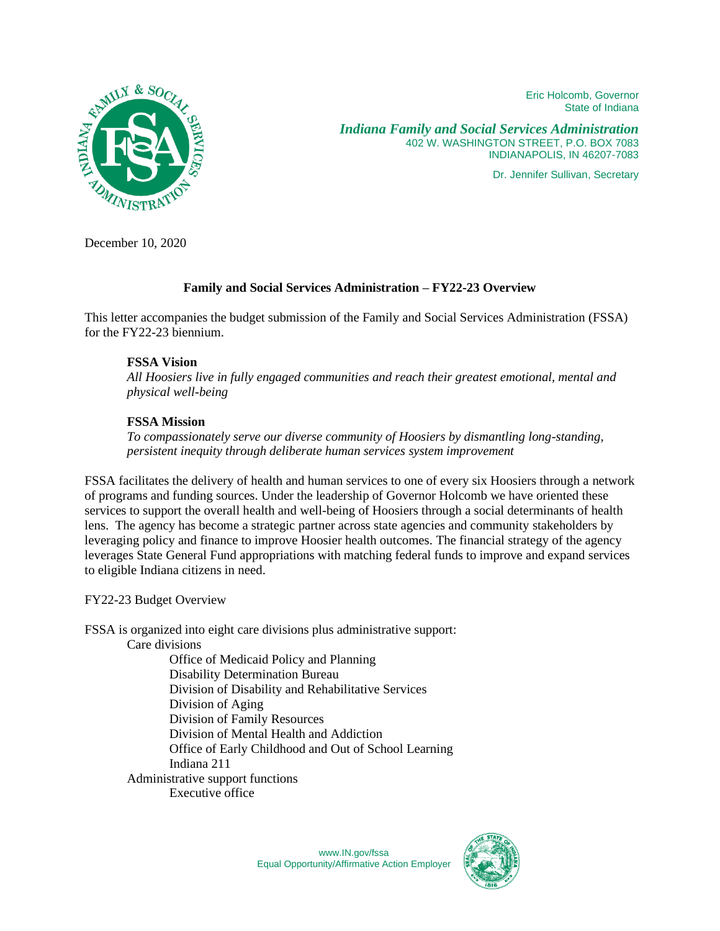Eric Holcomb, Governor State of Indiana



*Indiana Family and Social Services Administration* 402 W. WASHINGTON STREET, P.O. BOX 7083 INDIANAPOLIS, IN 46207-7083

Dr. Jennifer Sullivan, Secretary

December 10, 2020

## **Family and Social Services Administration – FY22-23 Overview**

This letter accompanies the budget submission of the Family and Social Services Administration (FSSA) for the FY22-23 biennium.

## **FSSA Vision**

*All Hoosiers live in fully engaged communities and reach their greatest emotional, mental and physical well-being*

### **FSSA Mission**

*To compassionately serve our diverse community of Hoosiers by dismantling long-standing, persistent inequity through deliberate human services system improvement*

FSSA facilitates the delivery of health and human services to one of every six Hoosiers through a network of programs and funding sources. Under the leadership of Governor Holcomb we have oriented these services to support the overall health and well-being of Hoosiers through a social determinants of health lens. The agency has become a strategic partner across state agencies and community stakeholders by leveraging policy and finance to improve Hoosier health outcomes. The financial strategy of the agency leverages State General Fund appropriations with matching federal funds to improve and expand services to eligible Indiana citizens in need.

FY22-23 Budget Overview

FSSA is organized into eight care divisions plus administrative support:

Care divisions

Office of Medicaid Policy and Planning Disability Determination Bureau Division of Disability and Rehabilitative Services Division of Aging Division of Family Resources Division of Mental Health and Addiction Office of Early Childhood and Out of School Learning Indiana 211 Administrative support functions Executive office

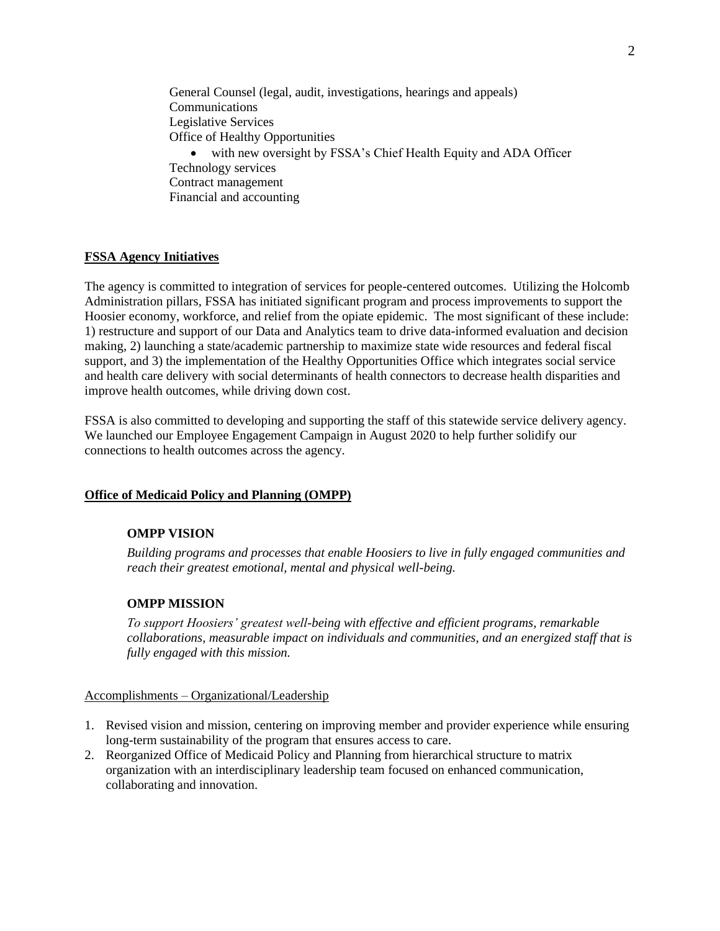General Counsel (legal, audit, investigations, hearings and appeals) Communications Legislative Services Office of Healthy Opportunities • with new oversight by FSSA's Chief Health Equity and ADA Officer Technology services Contract management Financial and accounting

### **FSSA Agency Initiatives**

The agency is committed to integration of services for people-centered outcomes. Utilizing the Holcomb Administration pillars, FSSA has initiated significant program and process improvements to support the Hoosier economy, workforce, and relief from the opiate epidemic. The most significant of these include: 1) restructure and support of our Data and Analytics team to drive data-informed evaluation and decision making, 2) launching a state/academic partnership to maximize state wide resources and federal fiscal support, and 3) the implementation of the Healthy Opportunities Office which integrates social service and health care delivery with social determinants of health connectors to decrease health disparities and improve health outcomes, while driving down cost.

FSSA is also committed to developing and supporting the staff of this statewide service delivery agency. We launched our Employee Engagement Campaign in August 2020 to help further solidify our connections to health outcomes across the agency.

#### **Office of Medicaid Policy and Planning (OMPP)**

#### **OMPP VISION**

*Building programs and processes that enable Hoosiers to live in fully engaged communities and reach their greatest emotional, mental and physical well-being.* 

### **OMPP MISSION**

*To support Hoosiers' greatest well-being with effective and efficient programs, remarkable collaborations, measurable impact on individuals and communities, and an energized staff that is fully engaged with this mission.* 

#### Accomplishments – Organizational/Leadership

- 1. Revised vision and mission, centering on improving member and provider experience while ensuring long-term sustainability of the program that ensures access to care.
- 2. Reorganized Office of Medicaid Policy and Planning from hierarchical structure to matrix organization with an interdisciplinary leadership team focused on enhanced communication, collaborating and innovation.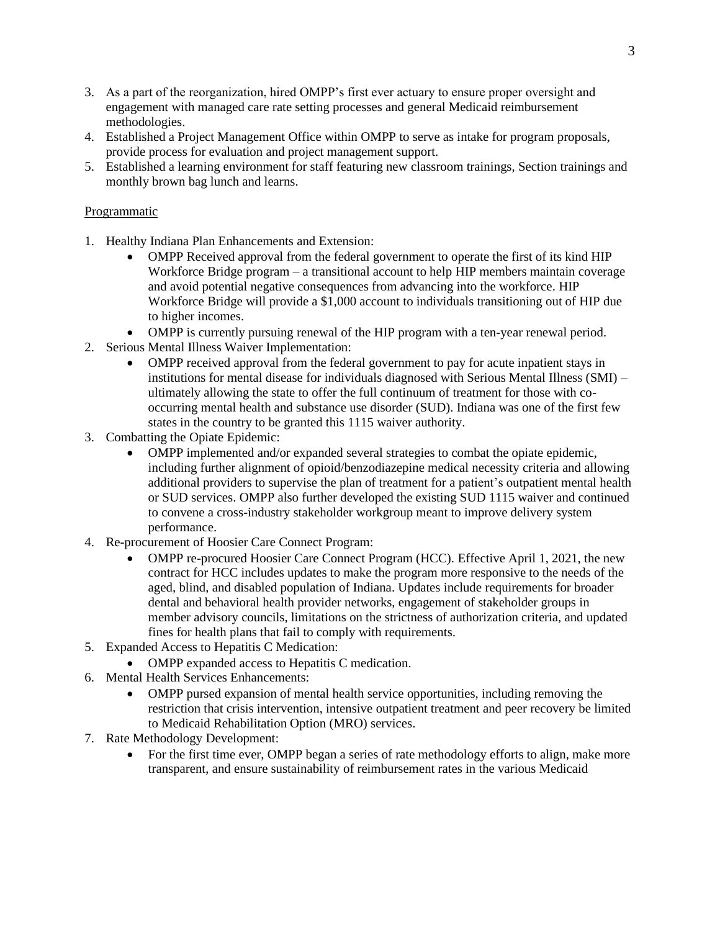- 3. As a part of the reorganization, hired OMPP's first ever actuary to ensure proper oversight and engagement with managed care rate setting processes and general Medicaid reimbursement methodologies.
- 4. Established a Project Management Office within OMPP to serve as intake for program proposals, provide process for evaluation and project management support.
- 5. Established a learning environment for staff featuring new classroom trainings, Section trainings and monthly brown bag lunch and learns.

## Programmatic

- 1. Healthy Indiana Plan Enhancements and Extension:
	- OMPP Received approval from the federal government to operate the first of its kind HIP Workforce Bridge program – a transitional account to help HIP members maintain coverage and avoid potential negative consequences from advancing into the workforce. HIP Workforce Bridge will provide a \$1,000 account to individuals transitioning out of HIP due to higher incomes.
	- OMPP is currently pursuing renewal of the HIP program with a ten-year renewal period.
- 2. Serious Mental Illness Waiver Implementation:
	- OMPP received approval from the federal government to pay for acute inpatient stays in institutions for mental disease for individuals diagnosed with Serious Mental Illness (SMI) – ultimately allowing the state to offer the full continuum of treatment for those with cooccurring mental health and substance use disorder (SUD). Indiana was one of the first few states in the country to be granted this 1115 waiver authority.
- 3. Combatting the Opiate Epidemic:
	- OMPP implemented and/or expanded several strategies to combat the opiate epidemic, including further alignment of opioid/benzodiazepine medical necessity criteria and allowing additional providers to supervise the plan of treatment for a patient's outpatient mental health or SUD services. OMPP also further developed the existing SUD 1115 waiver and continued to convene a cross-industry stakeholder workgroup meant to improve delivery system performance.
- 4. Re-procurement of Hoosier Care Connect Program:
	- OMPP re-procured Hoosier Care Connect Program (HCC). Effective April 1, 2021, the new contract for HCC includes updates to make the program more responsive to the needs of the aged, blind, and disabled population of Indiana. Updates include requirements for broader dental and behavioral health provider networks, engagement of stakeholder groups in member advisory councils, limitations on the strictness of authorization criteria, and updated fines for health plans that fail to comply with requirements.
- 5. Expanded Access to Hepatitis C Medication:
	- OMPP expanded access to Hepatitis C medication.
- 6. Mental Health Services Enhancements:
	- OMPP pursed expansion of mental health service opportunities, including removing the restriction that crisis intervention, intensive outpatient treatment and peer recovery be limited to Medicaid Rehabilitation Option (MRO) services.
- 7. Rate Methodology Development:
	- For the first time ever, OMPP began a series of rate methodology efforts to align, make more transparent, and ensure sustainability of reimbursement rates in the various Medicaid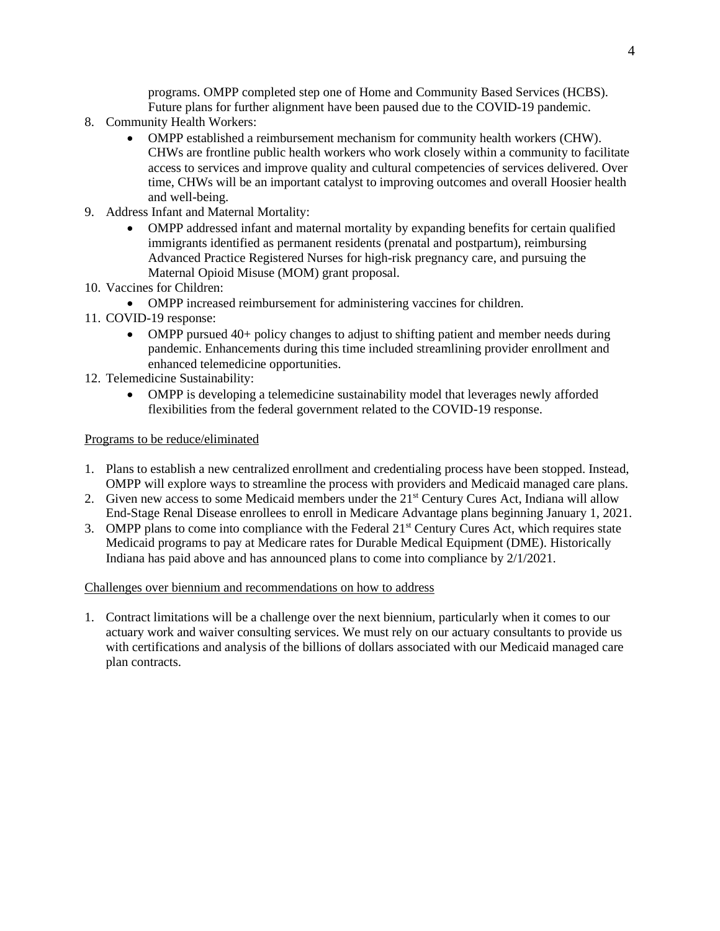programs. OMPP completed step one of Home and Community Based Services (HCBS). Future plans for further alignment have been paused due to the COVID-19 pandemic.

- 8. Community Health Workers:
	- OMPP established a reimbursement mechanism for community health workers (CHW). CHWs are frontline public health workers who work closely within a community to facilitate access to services and improve quality and cultural competencies of services delivered. Over time, CHWs will be an important catalyst to improving outcomes and overall Hoosier health and well-being.
- 9. Address Infant and Maternal Mortality:
	- OMPP addressed infant and maternal mortality by expanding benefits for certain qualified immigrants identified as permanent residents (prenatal and postpartum), reimbursing Advanced Practice Registered Nurses for high-risk pregnancy care, and pursuing the Maternal Opioid Misuse (MOM) grant proposal.
- 10. Vaccines for Children:
	- OMPP increased reimbursement for administering vaccines for children.
- 11. COVID-19 response:
	- OMPP pursued 40+ policy changes to adjust to shifting patient and member needs during pandemic. Enhancements during this time included streamlining provider enrollment and enhanced telemedicine opportunities.
- 12. Telemedicine Sustainability:
	- OMPP is developing a telemedicine sustainability model that leverages newly afforded flexibilities from the federal government related to the COVID-19 response.

## Programs to be reduce/eliminated

- 1. Plans to establish a new centralized enrollment and credentialing process have been stopped. Instead, OMPP will explore ways to streamline the process with providers and Medicaid managed care plans.
- 2. Given new access to some Medicaid members under the 21<sup>st</sup> Century Cures Act, Indiana will allow End-Stage Renal Disease enrollees to enroll in Medicare Advantage plans beginning January 1, 2021.
- 3. OMPP plans to come into compliance with the Federal 21<sup>st</sup> Century Cures Act, which requires state Medicaid programs to pay at Medicare rates for Durable Medical Equipment (DME). Historically Indiana has paid above and has announced plans to come into compliance by 2/1/2021.

## Challenges over biennium and recommendations on how to address

1. Contract limitations will be a challenge over the next biennium, particularly when it comes to our actuary work and waiver consulting services. We must rely on our actuary consultants to provide us with certifications and analysis of the billions of dollars associated with our Medicaid managed care plan contracts.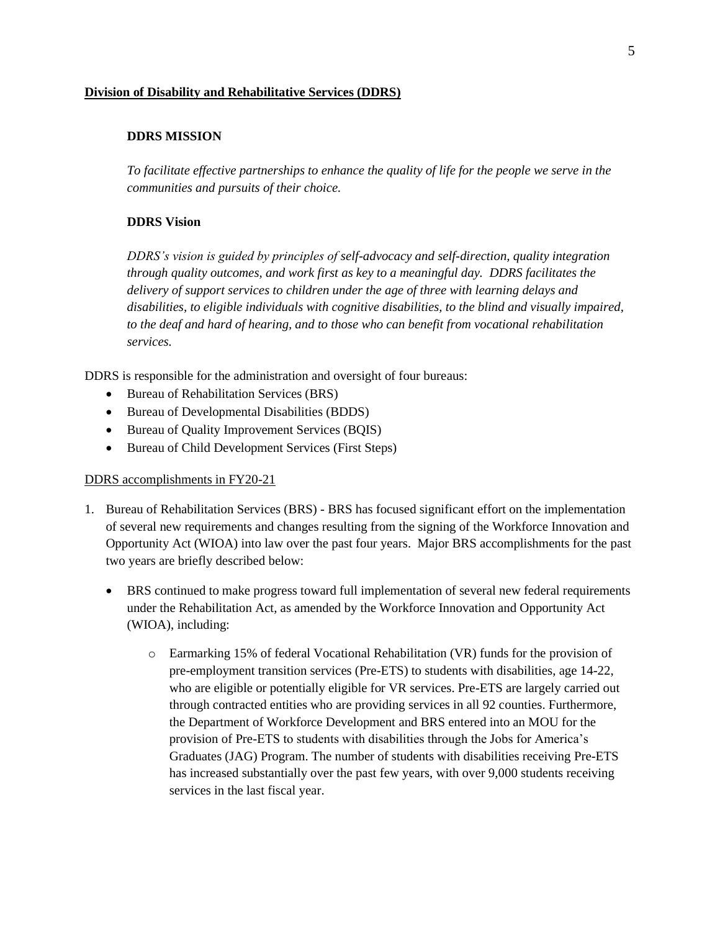### **Division of Disability and Rehabilitative Services (DDRS)**

### **DDRS MISSION**

*To facilitate effective partnerships to enhance the quality of life for the people we serve in the communities and pursuits of their choice.*

### **DDRS Vision**

*DDRS's vision is guided by principles of self-advocacy and self-direction, quality integration through quality outcomes, and work first as key to a meaningful day. DDRS facilitates the delivery of support services to children under the age of three with learning delays and disabilities, to eligible individuals with cognitive disabilities, to the blind and visually impaired, to the deaf and hard of hearing, and to those who can benefit from vocational rehabilitation services.* 

DDRS is responsible for the administration and oversight of four bureaus:

- Bureau of Rehabilitation Services (BRS)
- Bureau of Developmental Disabilities (BDDS)
- Bureau of Quality Improvement Services (BQIS)
- Bureau of Child Development Services (First Steps)

#### DDRS accomplishments in FY20-21

- 1. Bureau of Rehabilitation Services (BRS) BRS has focused significant effort on the implementation of several new requirements and changes resulting from the signing of the Workforce Innovation and Opportunity Act (WIOA) into law over the past four years. Major BRS accomplishments for the past two years are briefly described below:
	- BRS continued to make progress toward full implementation of several new federal requirements under the Rehabilitation Act, as amended by the Workforce Innovation and Opportunity Act (WIOA), including:
		- o Earmarking 15% of federal Vocational Rehabilitation (VR) funds for the provision of pre-employment transition services (Pre-ETS) to students with disabilities, age 14-22, who are eligible or potentially eligible for VR services. Pre-ETS are largely carried out through contracted entities who are providing services in all 92 counties. Furthermore, the Department of Workforce Development and BRS entered into an MOU for the provision of Pre-ETS to students with disabilities through the Jobs for America's Graduates (JAG) Program. The number of students with disabilities receiving Pre-ETS has increased substantially over the past few years, with over 9,000 students receiving services in the last fiscal year.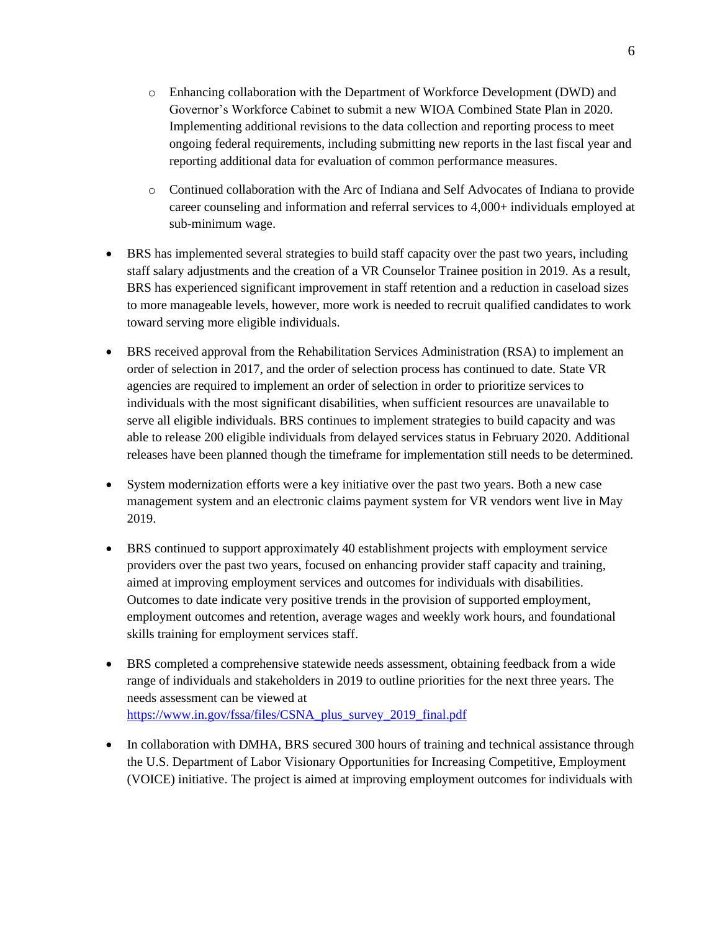- o Enhancing collaboration with the Department of Workforce Development (DWD) and Governor's Workforce Cabinet to submit a new WIOA Combined State Plan in 2020. Implementing additional revisions to the data collection and reporting process to meet ongoing federal requirements, including submitting new reports in the last fiscal year and reporting additional data for evaluation of common performance measures.
- o Continued collaboration with the Arc of Indiana and Self Advocates of Indiana to provide career counseling and information and referral services to 4,000+ individuals employed at sub-minimum wage.
- BRS has implemented several strategies to build staff capacity over the past two years, including staff salary adjustments and the creation of a VR Counselor Trainee position in 2019. As a result, BRS has experienced significant improvement in staff retention and a reduction in caseload sizes to more manageable levels, however, more work is needed to recruit qualified candidates to work toward serving more eligible individuals.
- BRS received approval from the Rehabilitation Services Administration (RSA) to implement an order of selection in 2017, and the order of selection process has continued to date. State VR agencies are required to implement an order of selection in order to prioritize services to individuals with the most significant disabilities, when sufficient resources are unavailable to serve all eligible individuals. BRS continues to implement strategies to build capacity and was able to release 200 eligible individuals from delayed services status in February 2020. Additional releases have been planned though the timeframe for implementation still needs to be determined.
- System modernization efforts were a key initiative over the past two years. Both a new case management system and an electronic claims payment system for VR vendors went live in May 2019.
- BRS continued to support approximately 40 establishment projects with employment service providers over the past two years, focused on enhancing provider staff capacity and training, aimed at improving employment services and outcomes for individuals with disabilities. Outcomes to date indicate very positive trends in the provision of supported employment, employment outcomes and retention, average wages and weekly work hours, and foundational skills training for employment services staff.
- BRS completed a comprehensive statewide needs assessment, obtaining feedback from a wide range of individuals and stakeholders in 2019 to outline priorities for the next three years. The needs assessment can be viewed at [https://www.in.gov/fssa/files/CSNA\\_plus\\_survey\\_2019\\_final.pdf](https://www.in.gov/fssa/files/CSNA_plus_survey_2019_final.pdf)
- In collaboration with DMHA, BRS secured 300 hours of training and technical assistance through the U.S. Department of Labor Visionary Opportunities for Increasing Competitive, Employment (VOICE) initiative. The project is aimed at improving employment outcomes for individuals with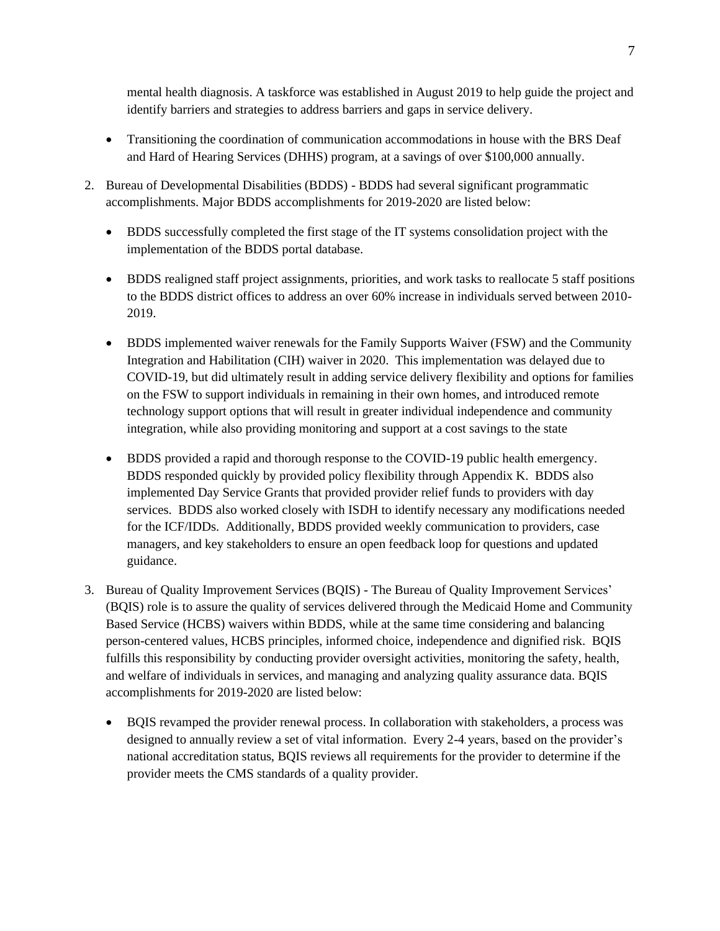mental health diagnosis. A taskforce was established in August 2019 to help guide the project and identify barriers and strategies to address barriers and gaps in service delivery.

- Transitioning the coordination of communication accommodations in house with the BRS Deaf and Hard of Hearing Services (DHHS) program, at a savings of over \$100,000 annually.
- 2. Bureau of Developmental Disabilities (BDDS) BDDS had several significant programmatic accomplishments. Major BDDS accomplishments for 2019-2020 are listed below:
	- BDDS successfully completed the first stage of the IT systems consolidation project with the implementation of the BDDS portal database.
	- BDDS realigned staff project assignments, priorities, and work tasks to reallocate 5 staff positions to the BDDS district offices to address an over 60% increase in individuals served between 2010- 2019.
	- BDDS implemented waiver renewals for the Family Supports Waiver (FSW) and the Community Integration and Habilitation (CIH) waiver in 2020. This implementation was delayed due to COVID-19, but did ultimately result in adding service delivery flexibility and options for families on the FSW to support individuals in remaining in their own homes, and introduced remote technology support options that will result in greater individual independence and community integration, while also providing monitoring and support at a cost savings to the state
	- BDDS provided a rapid and thorough response to the COVID-19 public health emergency. BDDS responded quickly by provided policy flexibility through Appendix K. BDDS also implemented Day Service Grants that provided provider relief funds to providers with day services. BDDS also worked closely with ISDH to identify necessary any modifications needed for the ICF/IDDs. Additionally, BDDS provided weekly communication to providers, case managers, and key stakeholders to ensure an open feedback loop for questions and updated guidance.
- 3. Bureau of Quality Improvement Services (BQIS) The Bureau of Quality Improvement Services' (BQIS) role is to assure the quality of services delivered through the Medicaid Home and Community Based Service (HCBS) waivers within BDDS, while at the same time considering and balancing person-centered values, HCBS principles, informed choice, independence and dignified risk. BQIS fulfills this responsibility by conducting provider oversight activities, monitoring the safety, health, and welfare of individuals in services, and managing and analyzing quality assurance data. BQIS accomplishments for 2019-2020 are listed below:
	- BQIS revamped the provider renewal process. In collaboration with stakeholders, a process was designed to annually review a set of vital information. Every 2-4 years, based on the provider's national accreditation status, BQIS reviews all requirements for the provider to determine if the provider meets the CMS standards of a quality provider.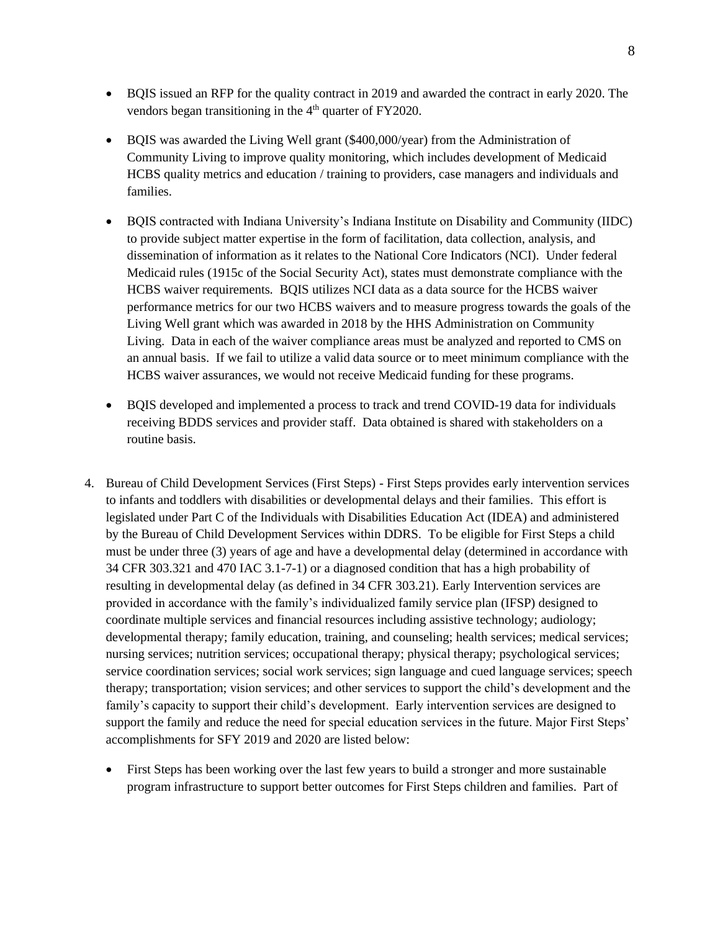- BQIS issued an RFP for the quality contract in 2019 and awarded the contract in early 2020. The vendors began transitioning in the 4<sup>th</sup> quarter of FY2020.
- BQIS was awarded the Living Well grant (\$400,000/year) from the Administration of Community Living to improve quality monitoring, which includes development of Medicaid HCBS quality metrics and education / training to providers, case managers and individuals and families.
- BQIS contracted with Indiana University's Indiana Institute on Disability and Community (IIDC) to provide subject matter expertise in the form of facilitation, data collection, analysis, and dissemination of information as it relates to the National Core Indicators (NCI). Under federal Medicaid rules (1915c of the Social Security Act), states must demonstrate compliance with the HCBS waiver requirements. BQIS utilizes NCI data as a data source for the HCBS waiver performance metrics for our two HCBS waivers and to measure progress towards the goals of the Living Well grant which was awarded in 2018 by the HHS Administration on Community Living. Data in each of the waiver compliance areas must be analyzed and reported to CMS on an annual basis. If we fail to utilize a valid data source or to meet minimum compliance with the HCBS waiver assurances, we would not receive Medicaid funding for these programs.
- BQIS developed and implemented a process to track and trend COVID-19 data for individuals receiving BDDS services and provider staff. Data obtained is shared with stakeholders on a routine basis.
- 4. Bureau of Child Development Services (First Steps) First Steps provides early intervention services to infants and toddlers with disabilities or developmental delays and their families. This effort is legislated under Part C of the Individuals with Disabilities Education Act (IDEA) and administered by the Bureau of Child Development Services within DDRS. To be eligible for First Steps a child must be under three (3) years of age and have a developmental delay (determined in accordance with 34 CFR 303.321 and 470 IAC 3.1-7-1) or a diagnosed condition that has a high probability of resulting in developmental delay (as defined in 34 CFR 303.21). Early Intervention services are provided in accordance with the family's individualized family service plan (IFSP) designed to coordinate multiple services and financial resources including assistive technology; audiology; developmental therapy; family education, training, and counseling; health services; medical services; nursing services; nutrition services; occupational therapy; physical therapy; psychological services; service coordination services; social work services; sign language and cued language services; speech therapy; transportation; vision services; and other services to support the child's development and the family's capacity to support their child's development. Early intervention services are designed to support the family and reduce the need for special education services in the future. Major First Steps' accomplishments for SFY 2019 and 2020 are listed below:
	- First Steps has been working over the last few years to build a stronger and more sustainable program infrastructure to support better outcomes for First Steps children and families. Part of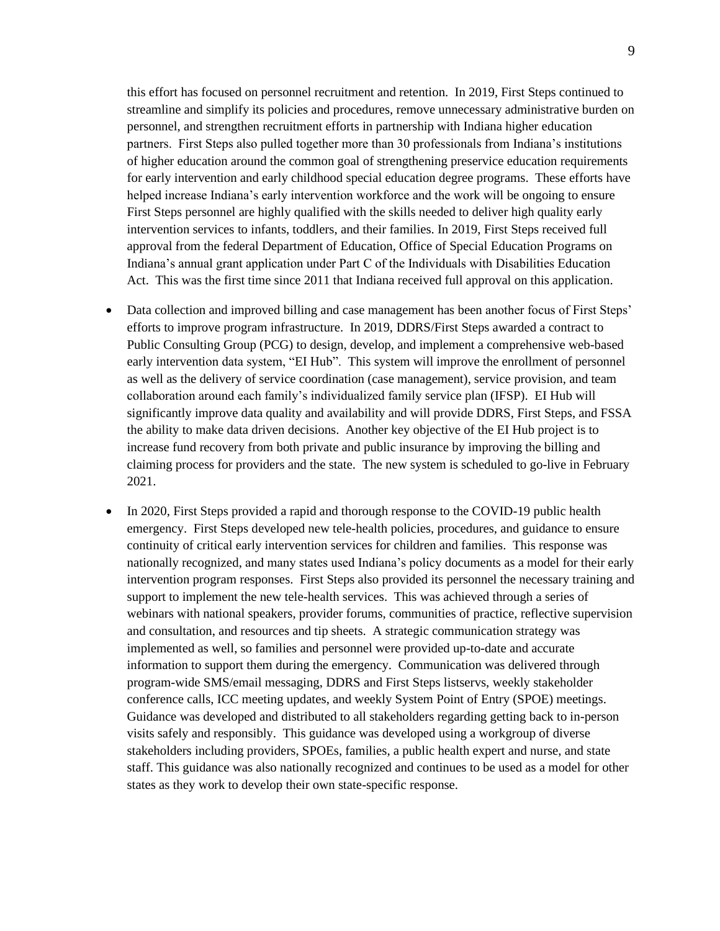this effort has focused on personnel recruitment and retention. In 2019, First Steps continued to streamline and simplify its policies and procedures, remove unnecessary administrative burden on personnel, and strengthen recruitment efforts in partnership with Indiana higher education partners. First Steps also pulled together more than 30 professionals from Indiana's institutions of higher education around the common goal of strengthening preservice education requirements for early intervention and early childhood special education degree programs. These efforts have helped increase Indiana's early intervention workforce and the work will be ongoing to ensure First Steps personnel are highly qualified with the skills needed to deliver high quality early intervention services to infants, toddlers, and their families. In 2019, First Steps received full approval from the federal Department of Education, Office of Special Education Programs on Indiana's annual grant application under Part C of the Individuals with Disabilities Education Act. This was the first time since 2011 that Indiana received full approval on this application.

- Data collection and improved billing and case management has been another focus of First Steps' efforts to improve program infrastructure. In 2019, DDRS/First Steps awarded a contract to Public Consulting Group (PCG) to design, develop, and implement a comprehensive web-based early intervention data system, "EI Hub". This system will improve the enrollment of personnel as well as the delivery of service coordination (case management), service provision, and team collaboration around each family's individualized family service plan (IFSP). EI Hub will significantly improve data quality and availability and will provide DDRS, First Steps, and FSSA the ability to make data driven decisions. Another key objective of the EI Hub project is to increase fund recovery from both private and public insurance by improving the billing and claiming process for providers and the state. The new system is scheduled to go-live in February 2021.
- In 2020, First Steps provided a rapid and thorough response to the COVID-19 public health emergency. First Steps developed new tele-health policies, procedures, and guidance to ensure continuity of critical early intervention services for children and families. This response was nationally recognized, and many states used Indiana's policy documents as a model for their early intervention program responses. First Steps also provided its personnel the necessary training and support to implement the new tele-health services. This was achieved through a series of webinars with national speakers, provider forums, communities of practice, reflective supervision and consultation, and resources and tip sheets. A strategic communication strategy was implemented as well, so families and personnel were provided up-to-date and accurate information to support them during the emergency. Communication was delivered through program-wide SMS/email messaging, DDRS and First Steps listservs, weekly stakeholder conference calls, ICC meeting updates, and weekly System Point of Entry (SPOE) meetings. Guidance was developed and distributed to all stakeholders regarding getting back to in-person visits safely and responsibly. This guidance was developed using a workgroup of diverse stakeholders including providers, SPOEs, families, a public health expert and nurse, and state staff. This guidance was also nationally recognized and continues to be used as a model for other states as they work to develop their own state-specific response.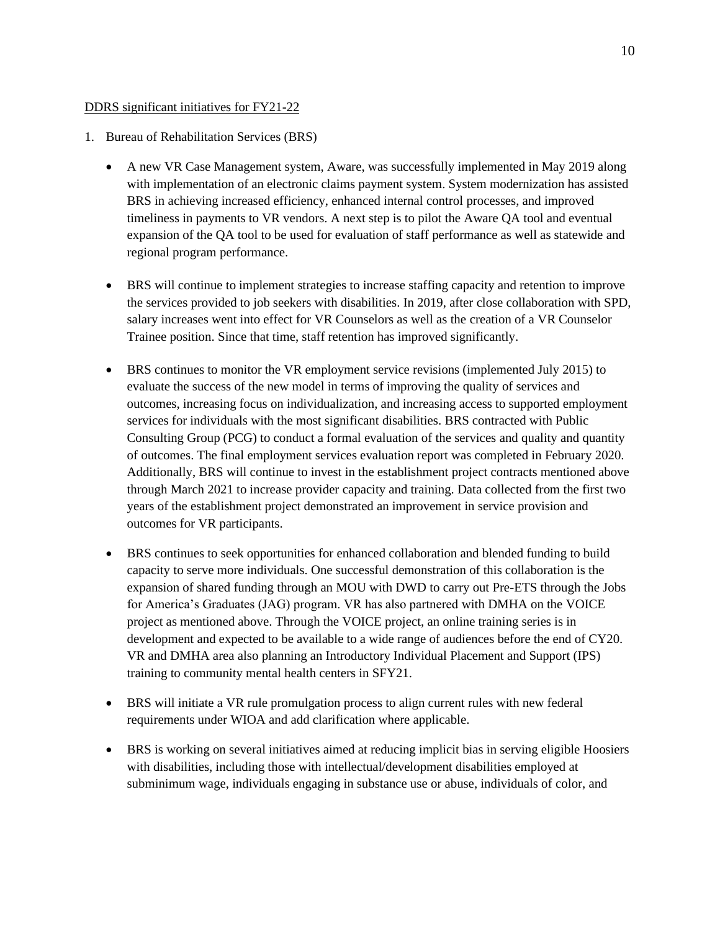## DDRS significant initiatives for FY21-22

- 1. Bureau of Rehabilitation Services (BRS)
	- A new VR Case Management system, Aware, was successfully implemented in May 2019 along with implementation of an electronic claims payment system. System modernization has assisted BRS in achieving increased efficiency, enhanced internal control processes, and improved timeliness in payments to VR vendors. A next step is to pilot the Aware QA tool and eventual expansion of the QA tool to be used for evaluation of staff performance as well as statewide and regional program performance.
	- BRS will continue to implement strategies to increase staffing capacity and retention to improve the services provided to job seekers with disabilities. In 2019, after close collaboration with SPD, salary increases went into effect for VR Counselors as well as the creation of a VR Counselor Trainee position. Since that time, staff retention has improved significantly.
	- BRS continues to monitor the VR employment service revisions (implemented July 2015) to evaluate the success of the new model in terms of improving the quality of services and outcomes, increasing focus on individualization, and increasing access to supported employment services for individuals with the most significant disabilities. BRS contracted with Public Consulting Group (PCG) to conduct a formal evaluation of the services and quality and quantity of outcomes. The final employment services evaluation report was completed in February 2020. Additionally, BRS will continue to invest in the establishment project contracts mentioned above through March 2021 to increase provider capacity and training. Data collected from the first two years of the establishment project demonstrated an improvement in service provision and outcomes for VR participants.
	- BRS continues to seek opportunities for enhanced collaboration and blended funding to build capacity to serve more individuals. One successful demonstration of this collaboration is the expansion of shared funding through an MOU with DWD to carry out Pre-ETS through the Jobs for America's Graduates (JAG) program. VR has also partnered with DMHA on the VOICE project as mentioned above. Through the VOICE project, an online training series is in development and expected to be available to a wide range of audiences before the end of CY20. VR and DMHA area also planning an Introductory Individual Placement and Support (IPS) training to community mental health centers in SFY21.
	- BRS will initiate a VR rule promulgation process to align current rules with new federal requirements under WIOA and add clarification where applicable.
	- BRS is working on several initiatives aimed at reducing implicit bias in serving eligible Hoosiers with disabilities, including those with intellectual/development disabilities employed at subminimum wage, individuals engaging in substance use or abuse, individuals of color, and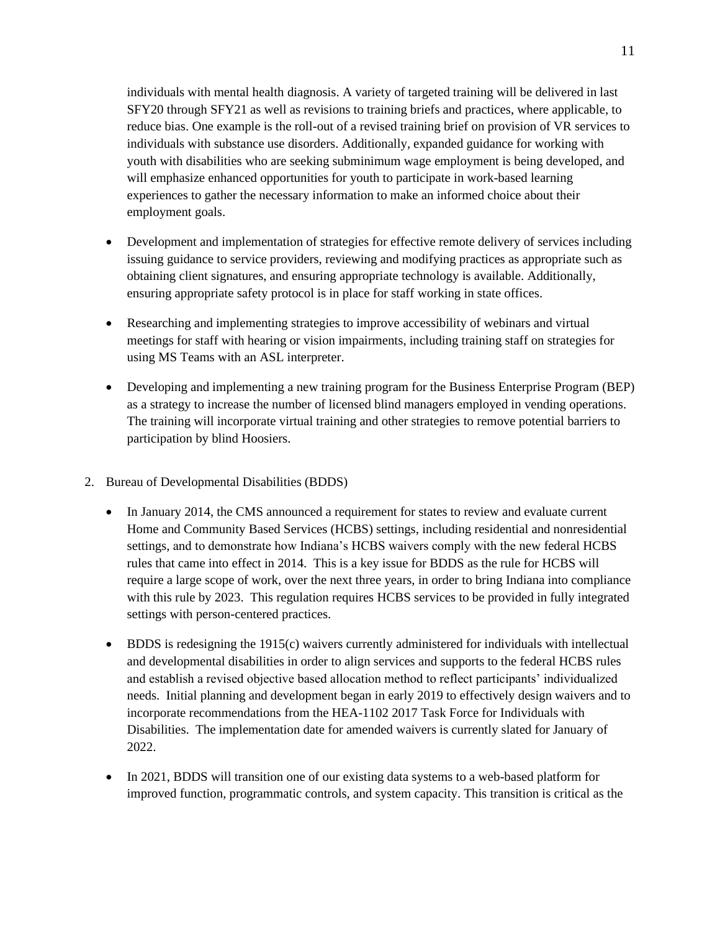individuals with mental health diagnosis. A variety of targeted training will be delivered in last SFY20 through SFY21 as well as revisions to training briefs and practices, where applicable, to reduce bias. One example is the roll-out of a revised training brief on provision of VR services to individuals with substance use disorders. Additionally, expanded guidance for working with youth with disabilities who are seeking subminimum wage employment is being developed, and will emphasize enhanced opportunities for youth to participate in work-based learning experiences to gather the necessary information to make an informed choice about their employment goals.

- Development and implementation of strategies for effective remote delivery of services including issuing guidance to service providers, reviewing and modifying practices as appropriate such as obtaining client signatures, and ensuring appropriate technology is available. Additionally, ensuring appropriate safety protocol is in place for staff working in state offices.
- Researching and implementing strategies to improve accessibility of webinars and virtual meetings for staff with hearing or vision impairments, including training staff on strategies for using MS Teams with an ASL interpreter.
- Developing and implementing a new training program for the Business Enterprise Program (BEP) as a strategy to increase the number of licensed blind managers employed in vending operations. The training will incorporate virtual training and other strategies to remove potential barriers to participation by blind Hoosiers.
- 2. Bureau of Developmental Disabilities (BDDS)
	- In January 2014, the CMS announced a requirement for states to review and evaluate current Home and Community Based Services (HCBS) settings, including residential and nonresidential settings, and to demonstrate how Indiana's HCBS waivers comply with the new federal HCBS rules that came into effect in 2014. This is a key issue for BDDS as the rule for HCBS will require a large scope of work, over the next three years, in order to bring Indiana into compliance with this rule by 2023. This regulation requires HCBS services to be provided in fully integrated settings with person-centered practices.
	- BDDS is redesigning the 1915(c) waivers currently administered for individuals with intellectual and developmental disabilities in order to align services and supports to the federal HCBS rules and establish a revised objective based allocation method to reflect participants' individualized needs. Initial planning and development began in early 2019 to effectively design waivers and to incorporate recommendations from the HEA-1102 2017 Task Force for Individuals with Disabilities. The implementation date for amended waivers is currently slated for January of 2022.
	- In 2021, BDDS will transition one of our existing data systems to a web-based platform for improved function, programmatic controls, and system capacity. This transition is critical as the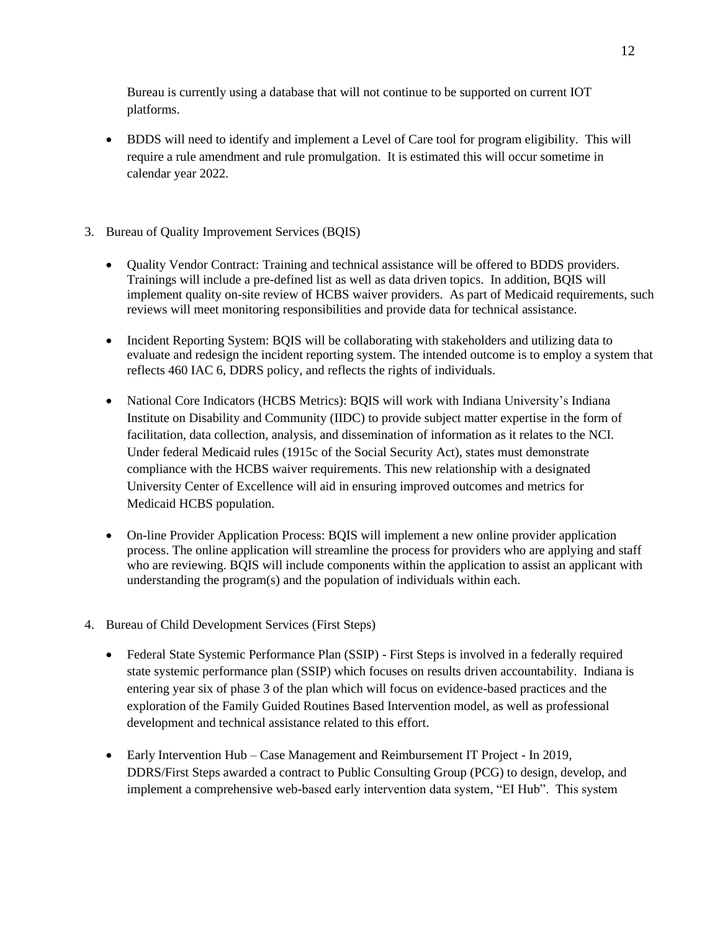Bureau is currently using a database that will not continue to be supported on current IOT platforms.

• BDDS will need to identify and implement a Level of Care tool for program eligibility. This will require a rule amendment and rule promulgation. It is estimated this will occur sometime in calendar year 2022.

# 3. Bureau of Quality Improvement Services (BQIS)

- Quality Vendor Contract: Training and technical assistance will be offered to BDDS providers. Trainings will include a pre-defined list as well as data driven topics. In addition, BQIS will implement quality on-site review of HCBS waiver providers. As part of Medicaid requirements, such reviews will meet monitoring responsibilities and provide data for technical assistance.
- Incident Reporting System: BQIS will be collaborating with stakeholders and utilizing data to evaluate and redesign the incident reporting system. The intended outcome is to employ a system that reflects 460 IAC 6, DDRS policy, and reflects the rights of individuals.
- National Core Indicators (HCBS Metrics): BQIS will work with Indiana University's Indiana Institute on Disability and Community (IIDC) to provide subject matter expertise in the form of facilitation, data collection, analysis, and dissemination of information as it relates to the NCI. Under federal Medicaid rules (1915c of the Social Security Act), states must demonstrate compliance with the HCBS waiver requirements. This new relationship with a designated University Center of Excellence will aid in ensuring improved outcomes and metrics for Medicaid HCBS population.
- On-line Provider Application Process: BOIS will implement a new online provider application process. The online application will streamline the process for providers who are applying and staff who are reviewing. BQIS will include components within the application to assist an applicant with understanding the program(s) and the population of individuals within each.
- 4. Bureau of Child Development Services (First Steps)
	- Federal State Systemic Performance Plan (SSIP) First Steps is involved in a federally required state systemic performance plan (SSIP) which focuses on results driven accountability. Indiana is entering year six of phase 3 of the plan which will focus on evidence-based practices and the exploration of the Family Guided Routines Based Intervention model, as well as professional development and technical assistance related to this effort.
	- Early Intervention Hub Case Management and Reimbursement IT Project In 2019, DDRS/First Steps awarded a contract to Public Consulting Group (PCG) to design, develop, and implement a comprehensive web-based early intervention data system, "EI Hub". This system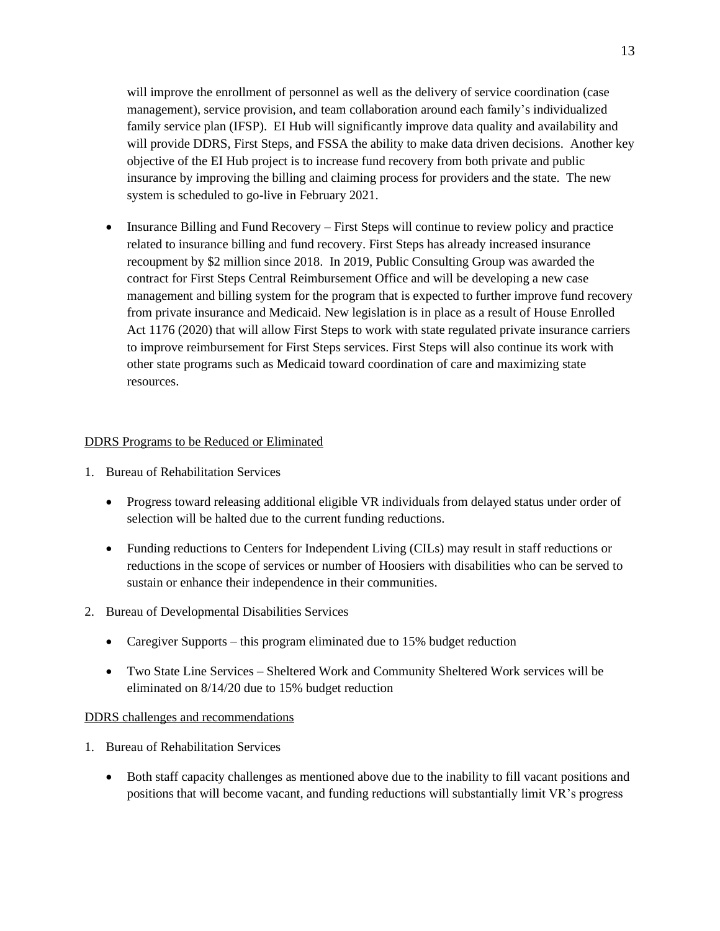will improve the enrollment of personnel as well as the delivery of service coordination (case management), service provision, and team collaboration around each family's individualized family service plan (IFSP). EI Hub will significantly improve data quality and availability and will provide DDRS, First Steps, and FSSA the ability to make data driven decisions. Another key objective of the EI Hub project is to increase fund recovery from both private and public insurance by improving the billing and claiming process for providers and the state. The new system is scheduled to go-live in February 2021.

• Insurance Billing and Fund Recovery – First Steps will continue to review policy and practice related to insurance billing and fund recovery. First Steps has already increased insurance recoupment by \$2 million since 2018. In 2019, Public Consulting Group was awarded the contract for First Steps Central Reimbursement Office and will be developing a new case management and billing system for the program that is expected to further improve fund recovery from private insurance and Medicaid. New legislation is in place as a result of House Enrolled Act 1176 (2020) that will allow First Steps to work with state regulated private insurance carriers to improve reimbursement for First Steps services. First Steps will also continue its work with other state programs such as Medicaid toward coordination of care and maximizing state resources.

## DDRS Programs to be Reduced or Eliminated

- 1. Bureau of Rehabilitation Services
	- Progress toward releasing additional eligible VR individuals from delayed status under order of selection will be halted due to the current funding reductions.
	- Funding reductions to Centers for Independent Living (CILs) may result in staff reductions or reductions in the scope of services or number of Hoosiers with disabilities who can be served to sustain or enhance their independence in their communities.
- 2. Bureau of Developmental Disabilities Services
	- Caregiver Supports this program eliminated due to 15% budget reduction
	- Two State Line Services Sheltered Work and Community Sheltered Work services will be eliminated on 8/14/20 due to 15% budget reduction

#### DDRS challenges and recommendations

- 1. Bureau of Rehabilitation Services
	- Both staff capacity challenges as mentioned above due to the inability to fill vacant positions and positions that will become vacant, and funding reductions will substantially limit VR's progress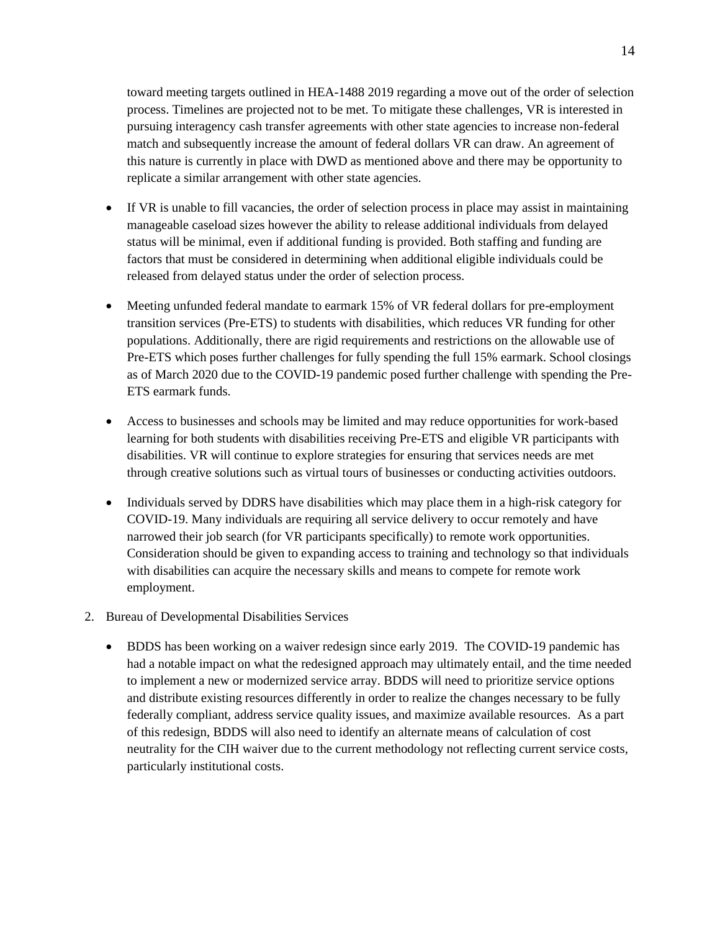toward meeting targets outlined in HEA-1488 2019 regarding a move out of the order of selection process. Timelines are projected not to be met. To mitigate these challenges, VR is interested in pursuing interagency cash transfer agreements with other state agencies to increase non-federal match and subsequently increase the amount of federal dollars VR can draw. An agreement of this nature is currently in place with DWD as mentioned above and there may be opportunity to replicate a similar arrangement with other state agencies.

- If VR is unable to fill vacancies, the order of selection process in place may assist in maintaining manageable caseload sizes however the ability to release additional individuals from delayed status will be minimal, even if additional funding is provided. Both staffing and funding are factors that must be considered in determining when additional eligible individuals could be released from delayed status under the order of selection process.
- Meeting unfunded federal mandate to earmark 15% of VR federal dollars for pre-employment transition services (Pre-ETS) to students with disabilities, which reduces VR funding for other populations. Additionally, there are rigid requirements and restrictions on the allowable use of Pre-ETS which poses further challenges for fully spending the full 15% earmark. School closings as of March 2020 due to the COVID-19 pandemic posed further challenge with spending the Pre-ETS earmark funds.
- Access to businesses and schools may be limited and may reduce opportunities for work-based learning for both students with disabilities receiving Pre-ETS and eligible VR participants with disabilities. VR will continue to explore strategies for ensuring that services needs are met through creative solutions such as virtual tours of businesses or conducting activities outdoors.
- Individuals served by DDRS have disabilities which may place them in a high-risk category for COVID-19. Many individuals are requiring all service delivery to occur remotely and have narrowed their job search (for VR participants specifically) to remote work opportunities. Consideration should be given to expanding access to training and technology so that individuals with disabilities can acquire the necessary skills and means to compete for remote work employment.
- 2. Bureau of Developmental Disabilities Services
	- BDDS has been working on a waiver redesign since early 2019. The COVID-19 pandemic has had a notable impact on what the redesigned approach may ultimately entail, and the time needed to implement a new or modernized service array. BDDS will need to prioritize service options and distribute existing resources differently in order to realize the changes necessary to be fully federally compliant, address service quality issues, and maximize available resources. As a part of this redesign, BDDS will also need to identify an alternate means of calculation of cost neutrality for the CIH waiver due to the current methodology not reflecting current service costs, particularly institutional costs.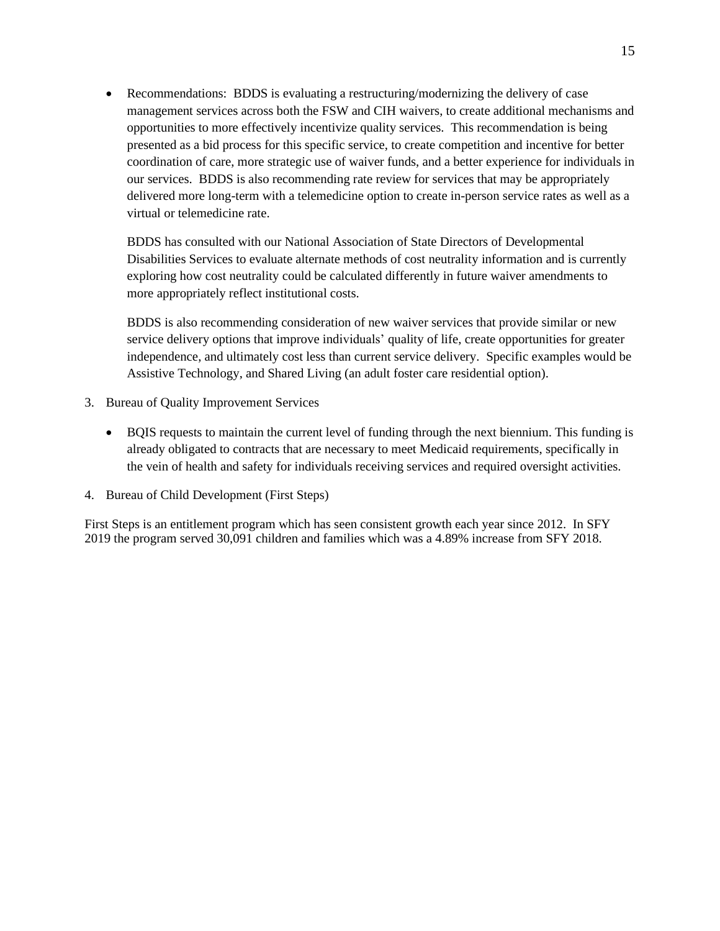• Recommendations: BDDS is evaluating a restructuring/modernizing the delivery of case management services across both the FSW and CIH waivers, to create additional mechanisms and opportunities to more effectively incentivize quality services. This recommendation is being presented as a bid process for this specific service, to create competition and incentive for better coordination of care, more strategic use of waiver funds, and a better experience for individuals in our services. BDDS is also recommending rate review for services that may be appropriately delivered more long-term with a telemedicine option to create in-person service rates as well as a virtual or telemedicine rate.

BDDS has consulted with our National Association of State Directors of Developmental Disabilities Services to evaluate alternate methods of cost neutrality information and is currently exploring how cost neutrality could be calculated differently in future waiver amendments to more appropriately reflect institutional costs.

BDDS is also recommending consideration of new waiver services that provide similar or new service delivery options that improve individuals' quality of life, create opportunities for greater independence, and ultimately cost less than current service delivery. Specific examples would be Assistive Technology, and Shared Living (an adult foster care residential option).

- 3. Bureau of Quality Improvement Services
	- BQIS requests to maintain the current level of funding through the next biennium. This funding is already obligated to contracts that are necessary to meet Medicaid requirements, specifically in the vein of health and safety for individuals receiving services and required oversight activities.
- 4. Bureau of Child Development (First Steps)

First Steps is an entitlement program which has seen consistent growth each year since 2012. In SFY 2019 the program served 30,091 children and families which was a 4.89% increase from SFY 2018.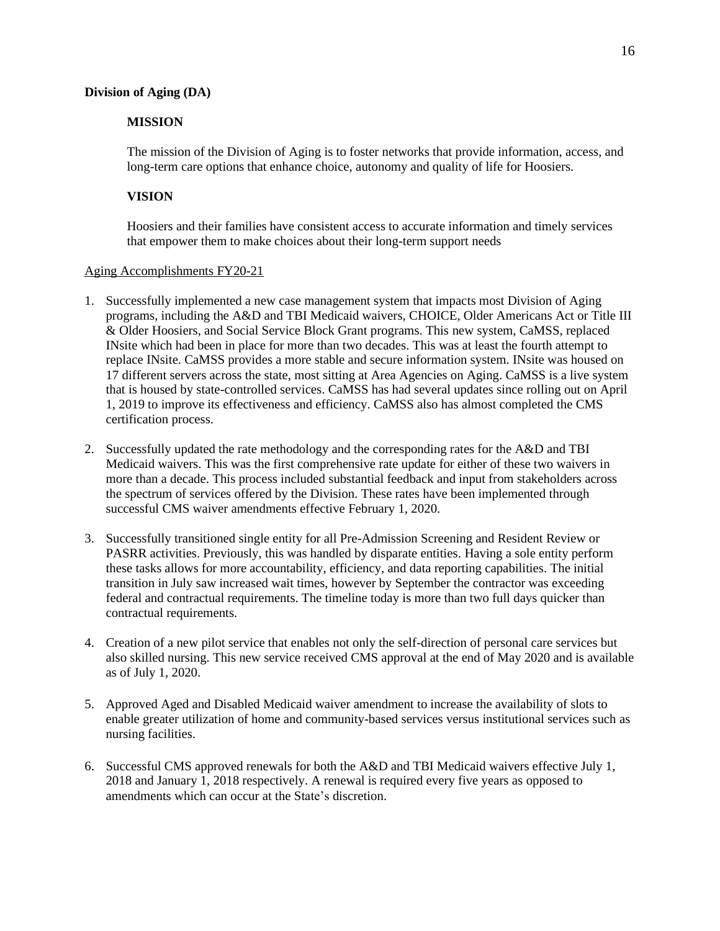#### **Division of Aging (DA)**

#### **MISSION**

The mission of the Division of Aging is to foster networks that provide information, access, and long-term care options that enhance choice, autonomy and quality of life for Hoosiers.

#### **VISION**

Hoosiers and their families have consistent access to accurate information and timely services that empower them to make choices about their long-term support needs

#### Aging Accomplishments FY20-21

- 1. Successfully implemented a new case management system that impacts most Division of Aging programs, including the A&D and TBI Medicaid waivers, CHOICE, Older Americans Act or Title III & Older Hoosiers, and Social Service Block Grant programs. This new system, CaMSS, replaced INsite which had been in place for more than two decades. This was at least the fourth attempt to replace INsite. CaMSS provides a more stable and secure information system. INsite was housed on 17 different servers across the state, most sitting at Area Agencies on Aging. CaMSS is a live system that is housed by state-controlled services. CaMSS has had several updates since rolling out on April 1, 2019 to improve its effectiveness and efficiency. CaMSS also has almost completed the CMS certification process.
- 2. Successfully updated the rate methodology and the corresponding rates for the A&D and TBI Medicaid waivers. This was the first comprehensive rate update for either of these two waivers in more than a decade. This process included substantial feedback and input from stakeholders across the spectrum of services offered by the Division. These rates have been implemented through successful CMS waiver amendments effective February 1, 2020.
- 3. Successfully transitioned single entity for all Pre-Admission Screening and Resident Review or PASRR activities. Previously, this was handled by disparate entities. Having a sole entity perform these tasks allows for more accountability, efficiency, and data reporting capabilities. The initial transition in July saw increased wait times, however by September the contractor was exceeding federal and contractual requirements. The timeline today is more than two full days quicker than contractual requirements.
- 4. Creation of a new pilot service that enables not only the self-direction of personal care services but also skilled nursing. This new service received CMS approval at the end of May 2020 and is available as of July 1, 2020.
- 5. Approved Aged and Disabled Medicaid waiver amendment to increase the availability of slots to enable greater utilization of home and community-based services versus institutional services such as nursing facilities.
- 6. Successful CMS approved renewals for both the A&D and TBI Medicaid waivers effective July 1, 2018 and January 1, 2018 respectively. A renewal is required every five years as opposed to amendments which can occur at the State's discretion.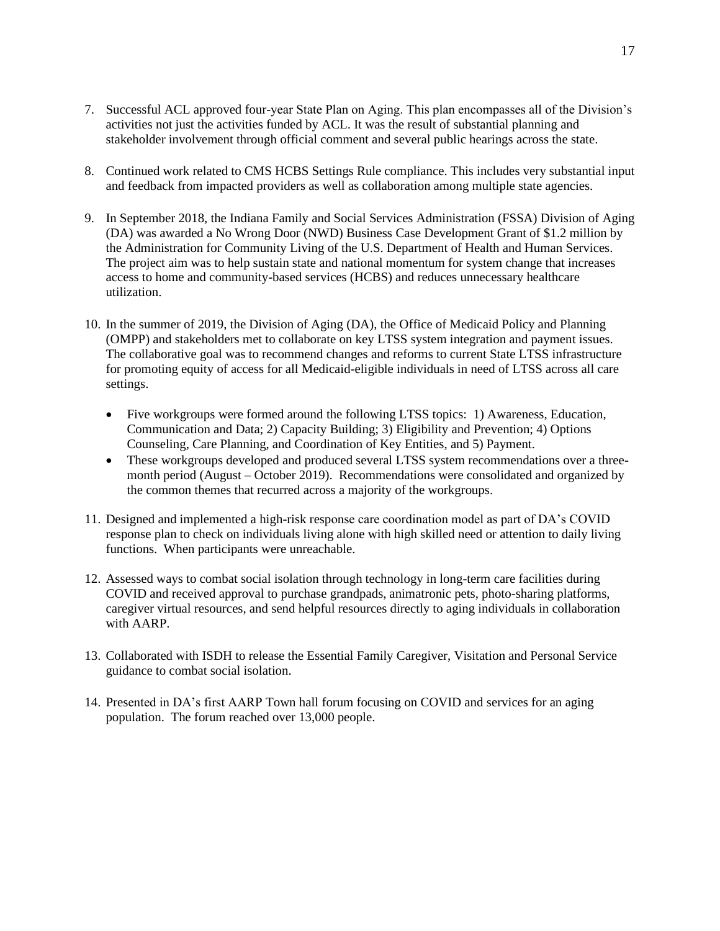- 7. Successful ACL approved four-year State Plan on Aging. This plan encompasses all of the Division's activities not just the activities funded by ACL. It was the result of substantial planning and stakeholder involvement through official comment and several public hearings across the state.
- 8. Continued work related to CMS HCBS Settings Rule compliance. This includes very substantial input and feedback from impacted providers as well as collaboration among multiple state agencies.
- 9. In September 2018, the Indiana Family and Social Services Administration (FSSA) Division of Aging (DA) was awarded a No Wrong Door (NWD) Business Case Development Grant of \$1.2 million by the Administration for Community Living of the U.S. Department of Health and Human Services. The project aim was to help sustain state and national momentum for system change that increases access to home and community-based services (HCBS) and reduces unnecessary healthcare utilization.
- 10. In the summer of 2019, the Division of Aging (DA), the Office of Medicaid Policy and Planning (OMPP) and stakeholders met to collaborate on key LTSS system integration and payment issues. The collaborative goal was to recommend changes and reforms to current State LTSS infrastructure for promoting equity of access for all Medicaid-eligible individuals in need of LTSS across all care settings.
	- Five workgroups were formed around the following LTSS topics: 1) Awareness, Education, Communication and Data; 2) Capacity Building; 3) Eligibility and Prevention; 4) Options Counseling, Care Planning, and Coordination of Key Entities, and 5) Payment.
	- These workgroups developed and produced several LTSS system recommendations over a threemonth period (August – October 2019). Recommendations were consolidated and organized by the common themes that recurred across a majority of the workgroups.
- 11. Designed and implemented a high-risk response care coordination model as part of DA's COVID response plan to check on individuals living alone with high skilled need or attention to daily living functions. When participants were unreachable.
- 12. Assessed ways to combat social isolation through technology in long-term care facilities during COVID and received approval to purchase grandpads, animatronic pets, photo-sharing platforms, caregiver virtual resources, and send helpful resources directly to aging individuals in collaboration with AARP.
- 13. Collaborated with ISDH to release the Essential Family Caregiver, Visitation and Personal Service guidance to combat social isolation.
- 14. Presented in DA's first AARP Town hall forum focusing on COVID and services for an aging population. The forum reached over 13,000 people.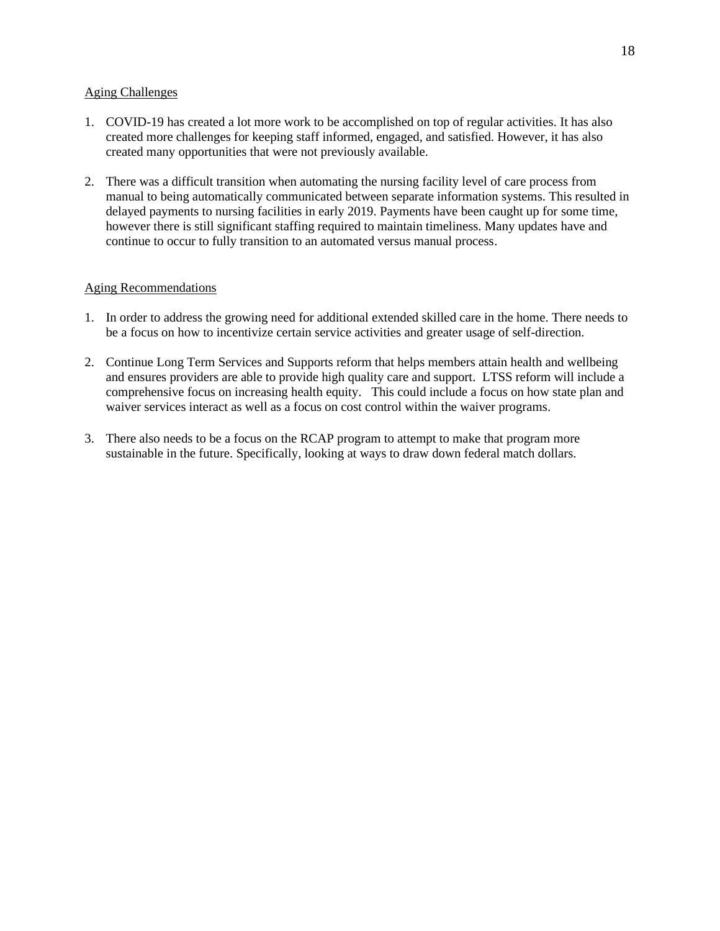### Aging Challenges

- 1. COVID-19 has created a lot more work to be accomplished on top of regular activities. It has also created more challenges for keeping staff informed, engaged, and satisfied. However, it has also created many opportunities that were not previously available.
- 2. There was a difficult transition when automating the nursing facility level of care process from manual to being automatically communicated between separate information systems. This resulted in delayed payments to nursing facilities in early 2019. Payments have been caught up for some time, however there is still significant staffing required to maintain timeliness. Many updates have and continue to occur to fully transition to an automated versus manual process.

## Aging Recommendations

- 1. In order to address the growing need for additional extended skilled care in the home. There needs to be a focus on how to incentivize certain service activities and greater usage of self-direction.
- 2. Continue Long Term Services and Supports reform that helps members attain health and wellbeing and ensures providers are able to provide high quality care and support. LTSS reform will include a comprehensive focus on increasing health equity. This could include a focus on how state plan and waiver services interact as well as a focus on cost control within the waiver programs.
- 3. There also needs to be a focus on the RCAP program to attempt to make that program more sustainable in the future. Specifically, looking at ways to draw down federal match dollars.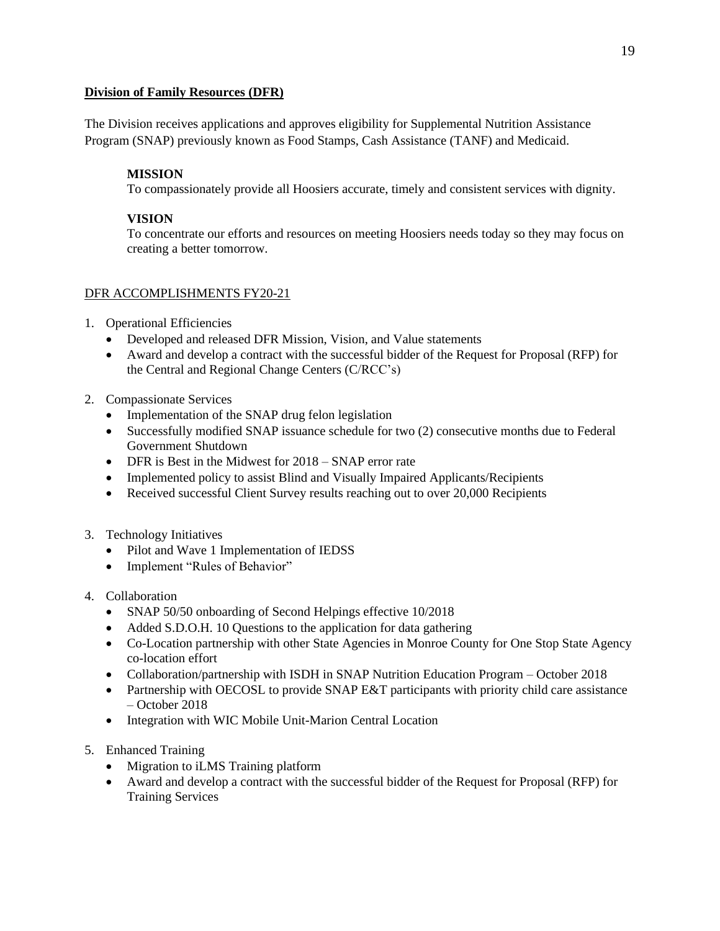## **Division of Family Resources (DFR)**

The Division receives applications and approves eligibility for Supplemental Nutrition Assistance Program (SNAP) previously known as Food Stamps, Cash Assistance (TANF) and Medicaid.

## **MISSION**

To compassionately provide all Hoosiers accurate, timely and consistent services with dignity.

## **VISION**

To concentrate our efforts and resources on meeting Hoosiers needs today so they may focus on creating a better tomorrow.

## DFR ACCOMPLISHMENTS FY20-21

- 1. Operational Efficiencies
	- Developed and released DFR Mission, Vision, and Value statements
	- Award and develop a contract with the successful bidder of the Request for Proposal (RFP) for the Central and Regional Change Centers (C/RCC's)
- 2. Compassionate Services
	- Implementation of the SNAP drug felon legislation
	- Successfully modified SNAP issuance schedule for two (2) consecutive months due to Federal Government Shutdown
	- DFR is Best in the Midwest for 2018 SNAP error rate
	- Implemented policy to assist Blind and Visually Impaired Applicants/Recipients
	- Received successful Client Survey results reaching out to over 20,000 Recipients
- 3. Technology Initiatives
	- Pilot and Wave 1 Implementation of IEDSS
	- Implement "Rules of Behavior"
- 4. Collaboration
	- SNAP 50/50 onboarding of Second Helpings effective 10/2018
	- Added S.D.O.H. 10 Questions to the application for data gathering
	- Co-Location partnership with other State Agencies in Monroe County for One Stop State Agency co-location effort
	- Collaboration/partnership with ISDH in SNAP Nutrition Education Program October 2018
	- Partnership with OECOSL to provide SNAP E&T participants with priority child care assistance – October 2018
	- Integration with WIC Mobile Unit-Marion Central Location
- 5. Enhanced Training
	- Migration to iLMS Training platform
	- Award and develop a contract with the successful bidder of the Request for Proposal (RFP) for Training Services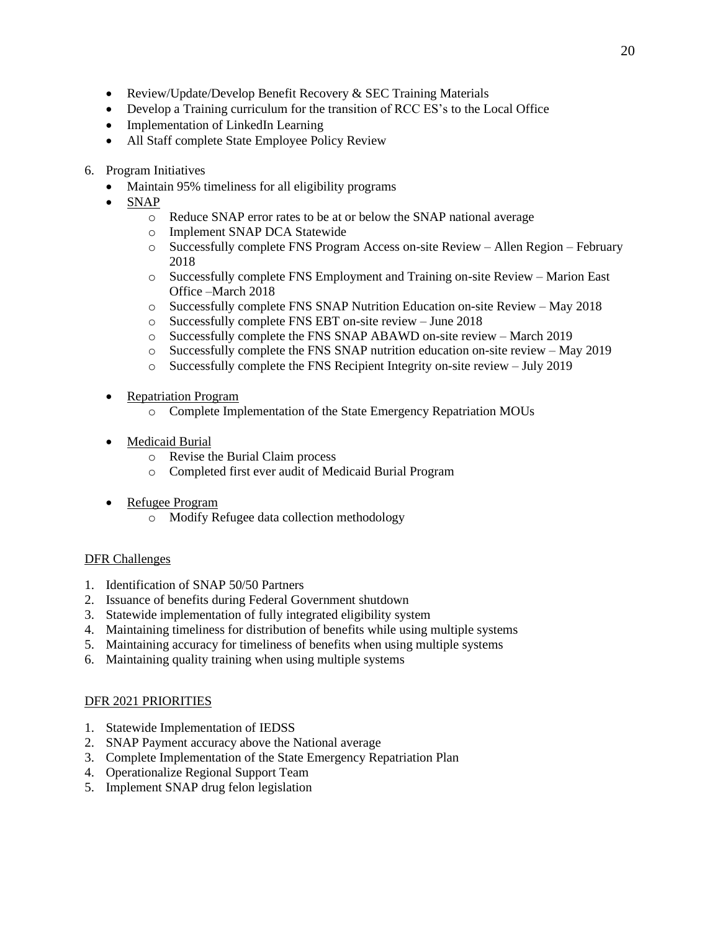- Review/Update/Develop Benefit Recovery & SEC Training Materials
- Develop a Training curriculum for the transition of RCC ES's to the Local Office
- Implementation of LinkedIn Learning
- All Staff complete State Employee Policy Review
- 6. Program Initiatives
	- Maintain 95% timeliness for all eligibility programs
	- SNAP
		- o Reduce SNAP error rates to be at or below the SNAP national average
		- o Implement SNAP DCA Statewide
		- o Successfully complete FNS Program Access on-site Review Allen Region February 2018
		- o Successfully complete FNS Employment and Training on-site Review Marion East Office –March 2018
		- o Successfully complete FNS SNAP Nutrition Education on-site Review May 2018
		- o Successfully complete FNS EBT on-site review June 2018
		- o Successfully complete the FNS SNAP ABAWD on-site review March 2019
		- o Successfully complete the FNS SNAP nutrition education on-site review May 2019
		- o Successfully complete the FNS Recipient Integrity on-site review July 2019
	- Repatriation Program
		- o Complete Implementation of the State Emergency Repatriation MOUs
	- Medicaid Burial
		- o Revise the Burial Claim process
		- o Completed first ever audit of Medicaid Burial Program
	- Refugee Program
		- o Modify Refugee data collection methodology

## DFR Challenges

- 1. Identification of SNAP 50/50 Partners
- 2. Issuance of benefits during Federal Government shutdown
- 3. Statewide implementation of fully integrated eligibility system
- 4. Maintaining timeliness for distribution of benefits while using multiple systems
- 5. Maintaining accuracy for timeliness of benefits when using multiple systems
- 6. Maintaining quality training when using multiple systems

## DFR 2021 PRIORITIES

- 1. Statewide Implementation of IEDSS
- 2. SNAP Payment accuracy above the National average
- 3. Complete Implementation of the State Emergency Repatriation Plan
- 4. Operationalize Regional Support Team
- 5. Implement SNAP drug felon legislation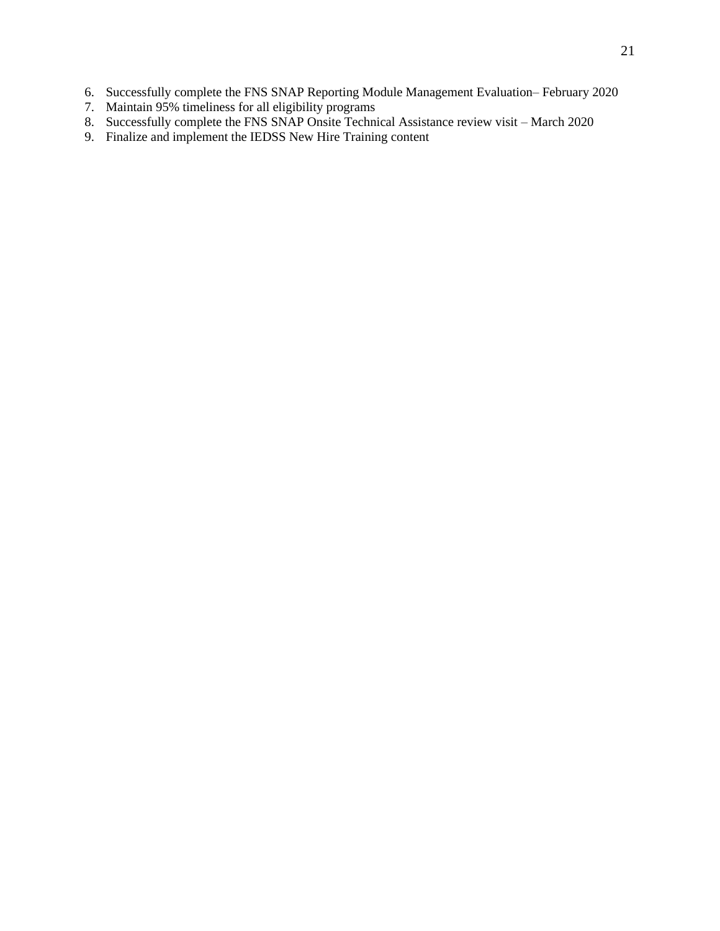- 6. Successfully complete the FNS SNAP Reporting Module Management Evaluation– February 2020
- 7. Maintain 95% timeliness for all eligibility programs
- 8. Successfully complete the FNS SNAP Onsite Technical Assistance review visit March 2020
- 9. Finalize and implement the IEDSS New Hire Training content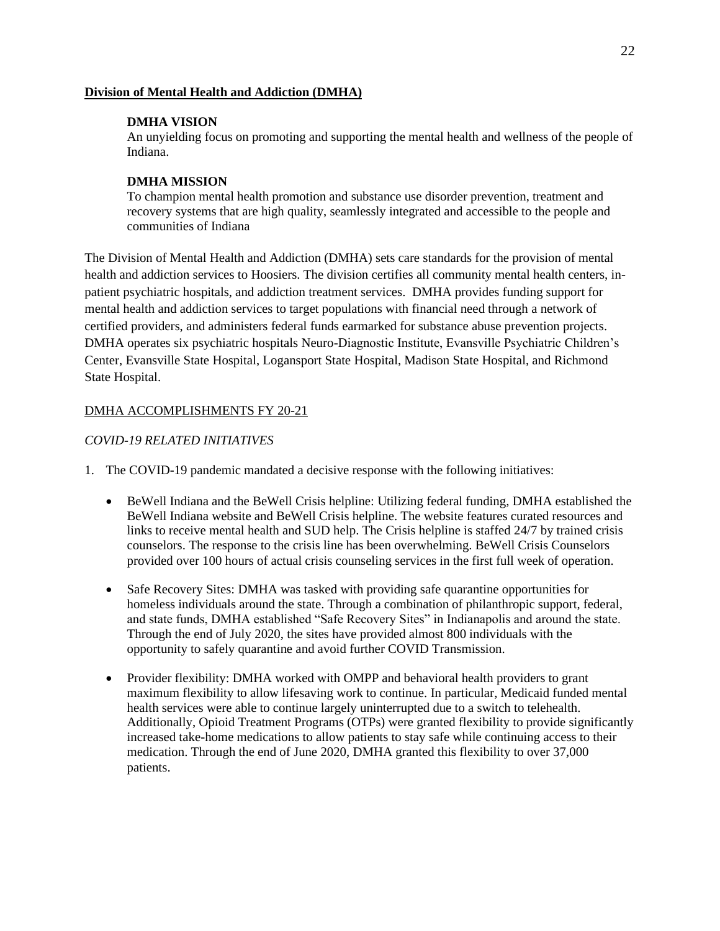#### **Division of Mental Health and Addiction (DMHA)**

### **DMHA VISION**

An unyielding focus on promoting and supporting the mental health and wellness of the people of Indiana.

## **DMHA MISSION**

To champion mental health promotion and substance use disorder prevention, treatment and recovery systems that are high quality, seamlessly integrated and accessible to the people and communities of Indiana

The Division of Mental Health and Addiction (DMHA) sets care standards for the provision of mental health and addiction services to Hoosiers. The division certifies all community mental health centers, inpatient psychiatric hospitals, and addiction treatment services. DMHA provides funding support for mental health and addiction services to target populations with financial need through a network of certified providers, and administers federal funds earmarked for substance abuse prevention projects. DMHA operates six psychiatric hospitals Neuro-Diagnostic Institute, Evansville Psychiatric Children's Center, Evansville State Hospital, Logansport State Hospital, Madison State Hospital, and Richmond State Hospital.

## DMHA ACCOMPLISHMENTS FY 20-21

## *COVID-19 RELATED INITIATIVES*

- 1. The COVID-19 pandemic mandated a decisive response with the following initiatives:
	- BeWell Indiana and the BeWell Crisis helpline: Utilizing federal funding, DMHA established the BeWell Indiana website and BeWell Crisis helpline. The website features curated resources and links to receive mental health and SUD help. The Crisis helpline is staffed 24/7 by trained crisis counselors. The response to the crisis line has been overwhelming. BeWell Crisis Counselors provided over 100 hours of actual crisis counseling services in the first full week of operation.
	- Safe Recovery Sites: DMHA was tasked with providing safe quarantine opportunities for homeless individuals around the state. Through a combination of philanthropic support, federal, and state funds, DMHA established "Safe Recovery Sites" in Indianapolis and around the state. Through the end of July 2020, the sites have provided almost 800 individuals with the opportunity to safely quarantine and avoid further COVID Transmission.
	- Provider flexibility: DMHA worked with OMPP and behavioral health providers to grant maximum flexibility to allow lifesaving work to continue. In particular, Medicaid funded mental health services were able to continue largely uninterrupted due to a switch to telehealth. Additionally, Opioid Treatment Programs (OTPs) were granted flexibility to provide significantly increased take-home medications to allow patients to stay safe while continuing access to their medication. Through the end of June 2020, DMHA granted this flexibility to over 37,000 patients.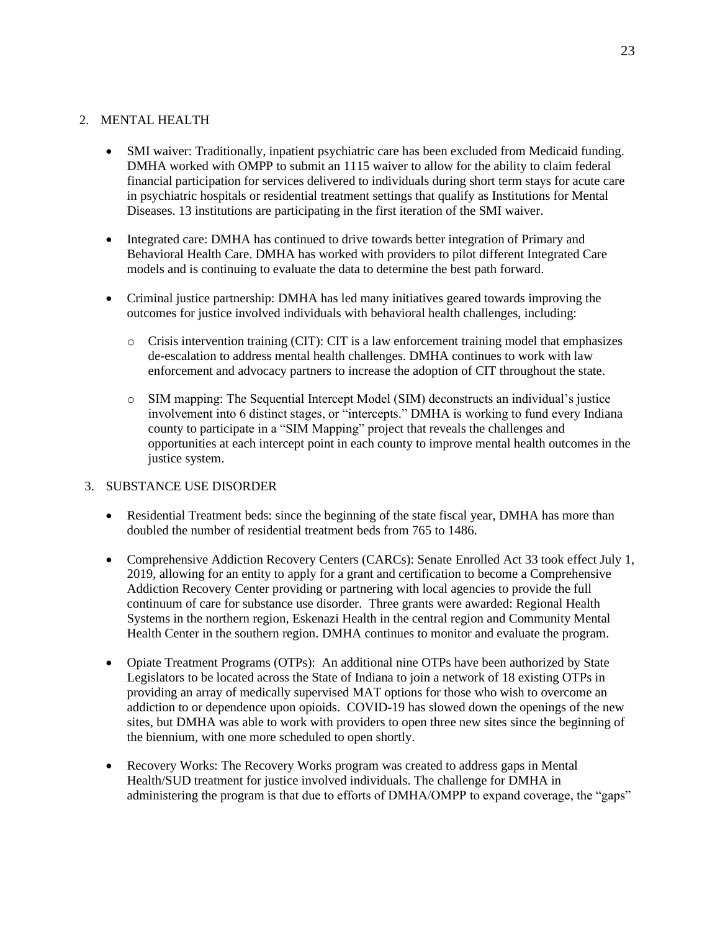# 2. MENTAL HEALTH

- SMI waiver: Traditionally, inpatient psychiatric care has been excluded from Medicaid funding. DMHA worked with OMPP to submit an 1115 waiver to allow for the ability to claim federal financial participation for services delivered to individuals during short term stays for acute care in psychiatric hospitals or residential treatment settings that qualify as Institutions for Mental Diseases. 13 institutions are participating in the first iteration of the SMI waiver.
- Integrated care: DMHA has continued to drive towards better integration of Primary and Behavioral Health Care. DMHA has worked with providers to pilot different Integrated Care models and is continuing to evaluate the data to determine the best path forward.
- Criminal justice partnership: DMHA has led many initiatives geared towards improving the outcomes for justice involved individuals with behavioral health challenges, including:
	- $\circ$  Crisis intervention training (CIT): CIT is a law enforcement training model that emphasizes de-escalation to address mental health challenges. DMHA continues to work with law enforcement and advocacy partners to increase the adoption of CIT throughout the state.
	- o SIM mapping: The Sequential Intercept Model (SIM) deconstructs an individual's justice involvement into 6 distinct stages, or "intercepts." DMHA is working to fund every Indiana county to participate in a "SIM Mapping" project that reveals the challenges and opportunities at each intercept point in each county to improve mental health outcomes in the justice system.

## 3. SUBSTANCE USE DISORDER

- Residential Treatment beds: since the beginning of the state fiscal year, DMHA has more than doubled the number of residential treatment beds from 765 to 1486.
- Comprehensive Addiction Recovery Centers (CARCs): Senate Enrolled Act 33 took effect July 1, 2019, allowing for an entity to apply for a grant and certification to become a Comprehensive Addiction Recovery Center providing or partnering with local agencies to provide the full continuum of care for substance use disorder. Three grants were awarded: Regional Health Systems in the northern region, Eskenazi Health in the central region and Community Mental Health Center in the southern region. DMHA continues to monitor and evaluate the program.
- Opiate Treatment Programs (OTPs): An additional nine OTPs have been authorized by State Legislators to be located across the State of Indiana to join a network of 18 existing OTPs in providing an array of medically supervised MAT options for those who wish to overcome an addiction to or dependence upon opioids. COVID-19 has slowed down the openings of the new sites, but DMHA was able to work with providers to open three new sites since the beginning of the biennium, with one more scheduled to open shortly.
- Recovery Works: The Recovery Works program was created to address gaps in Mental Health/SUD treatment for justice involved individuals. The challenge for DMHA in administering the program is that due to efforts of DMHA/OMPP to expand coverage, the "gaps"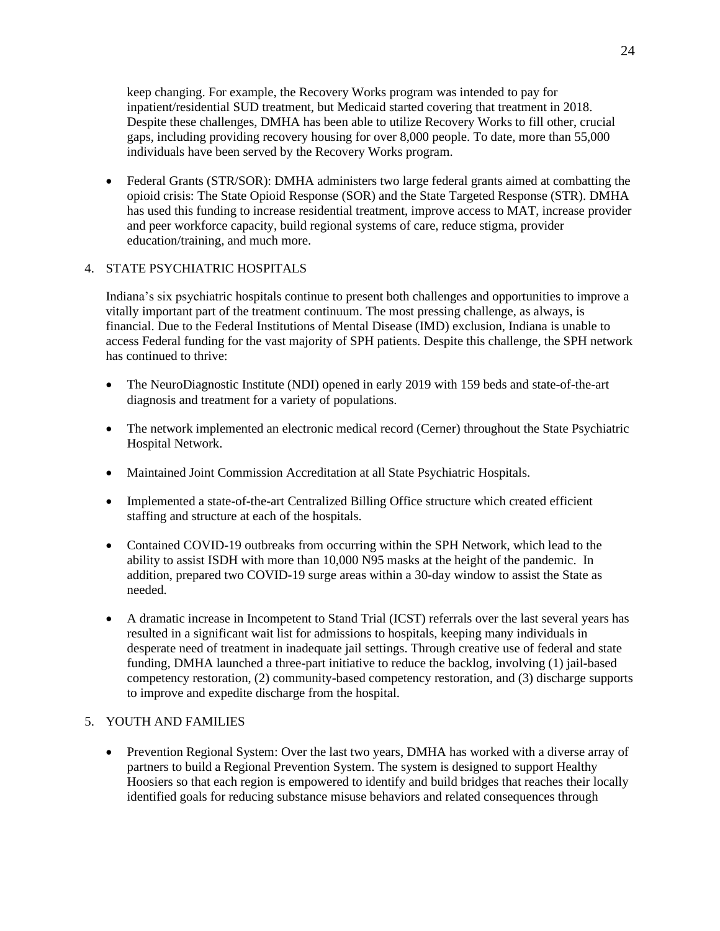keep changing. For example, the Recovery Works program was intended to pay for inpatient/residential SUD treatment, but Medicaid started covering that treatment in 2018. Despite these challenges, DMHA has been able to utilize Recovery Works to fill other, crucial gaps, including providing recovery housing for over 8,000 people. To date, more than 55,000 individuals have been served by the Recovery Works program.

• Federal Grants (STR/SOR): DMHA administers two large federal grants aimed at combatting the opioid crisis: The State Opioid Response (SOR) and the State Targeted Response (STR). DMHA has used this funding to increase residential treatment, improve access to MAT, increase provider and peer workforce capacity, build regional systems of care, reduce stigma, provider education/training, and much more.

## 4. STATE PSYCHIATRIC HOSPITALS

Indiana's six psychiatric hospitals continue to present both challenges and opportunities to improve a vitally important part of the treatment continuum. The most pressing challenge, as always, is financial. Due to the Federal Institutions of Mental Disease (IMD) exclusion, Indiana is unable to access Federal funding for the vast majority of SPH patients. Despite this challenge, the SPH network has continued to thrive:

- The NeuroDiagnostic Institute (NDI) opened in early 2019 with 159 beds and state-of-the-art diagnosis and treatment for a variety of populations.
- The network implemented an electronic medical record (Cerner) throughout the State Psychiatric Hospital Network.
- Maintained Joint Commission Accreditation at all State Psychiatric Hospitals.
- Implemented a state-of-the-art Centralized Billing Office structure which created efficient staffing and structure at each of the hospitals.
- Contained COVID-19 outbreaks from occurring within the SPH Network, which lead to the ability to assist ISDH with more than 10,000 N95 masks at the height of the pandemic. In addition, prepared two COVID-19 surge areas within a 30-day window to assist the State as needed.
- A dramatic increase in Incompetent to Stand Trial (ICST) referrals over the last several years has resulted in a significant wait list for admissions to hospitals, keeping many individuals in desperate need of treatment in inadequate jail settings. Through creative use of federal and state funding, DMHA launched a three-part initiative to reduce the backlog, involving (1) jail-based competency restoration, (2) community-based competency restoration, and (3) discharge supports to improve and expedite discharge from the hospital.

## 5. YOUTH AND FAMILIES

• Prevention Regional System: Over the last two years, DMHA has worked with a diverse array of partners to build a Regional Prevention System. The system is designed to support Healthy Hoosiers so that each region is empowered to identify and build bridges that reaches their locally identified goals for reducing substance misuse behaviors and related consequences through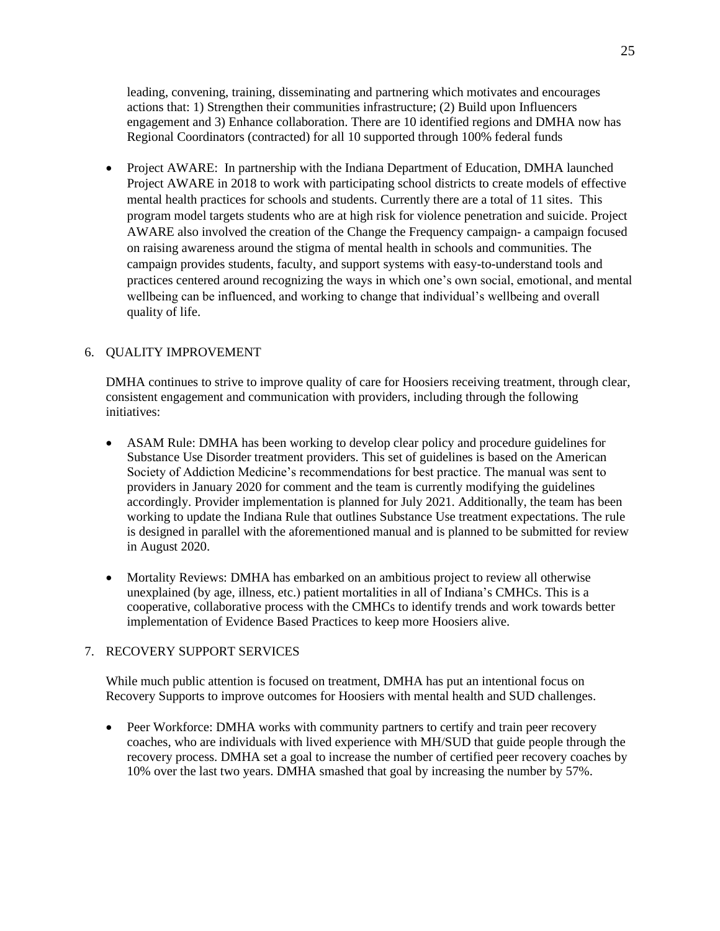leading, convening, training, disseminating and partnering which motivates and encourages actions that: 1) Strengthen their communities infrastructure; (2) Build upon Influencers engagement and 3) Enhance collaboration. There are 10 identified regions and DMHA now has Regional Coordinators (contracted) for all 10 supported through 100% federal funds

• Project AWARE: In partnership with the Indiana Department of Education, DMHA launched Project AWARE in 2018 to work with participating school districts to create models of effective mental health practices for schools and students. Currently there are a total of 11 sites. This program model targets students who are at high risk for violence penetration and suicide. Project AWARE also involved the creation of the Change the Frequency campaign- a campaign focused on raising awareness around the stigma of mental health in schools and communities. The campaign provides students, faculty, and support systems with easy-to-understand tools and practices centered around recognizing the ways in which one's own social, emotional, and mental wellbeing can be influenced, and working to change that individual's wellbeing and overall quality of life.

## 6. QUALITY IMPROVEMENT

DMHA continues to strive to improve quality of care for Hoosiers receiving treatment, through clear, consistent engagement and communication with providers, including through the following initiatives:

- ASAM Rule: DMHA has been working to develop clear policy and procedure guidelines for Substance Use Disorder treatment providers. This set of guidelines is based on the American Society of Addiction Medicine's recommendations for best practice. The manual was sent to providers in January 2020 for comment and the team is currently modifying the guidelines accordingly. Provider implementation is planned for July 2021. Additionally, the team has been working to update the Indiana Rule that outlines Substance Use treatment expectations. The rule is designed in parallel with the aforementioned manual and is planned to be submitted for review in August 2020.
- Mortality Reviews: DMHA has embarked on an ambitious project to review all otherwise unexplained (by age, illness, etc.) patient mortalities in all of Indiana's CMHCs. This is a cooperative, collaborative process with the CMHCs to identify trends and work towards better implementation of Evidence Based Practices to keep more Hoosiers alive.

#### 7. RECOVERY SUPPORT SERVICES

While much public attention is focused on treatment, DMHA has put an intentional focus on Recovery Supports to improve outcomes for Hoosiers with mental health and SUD challenges.

• Peer Workforce: DMHA works with community partners to certify and train peer recovery coaches, who are individuals with lived experience with MH/SUD that guide people through the recovery process. DMHA set a goal to increase the number of certified peer recovery coaches by 10% over the last two years. DMHA smashed that goal by increasing the number by 57%.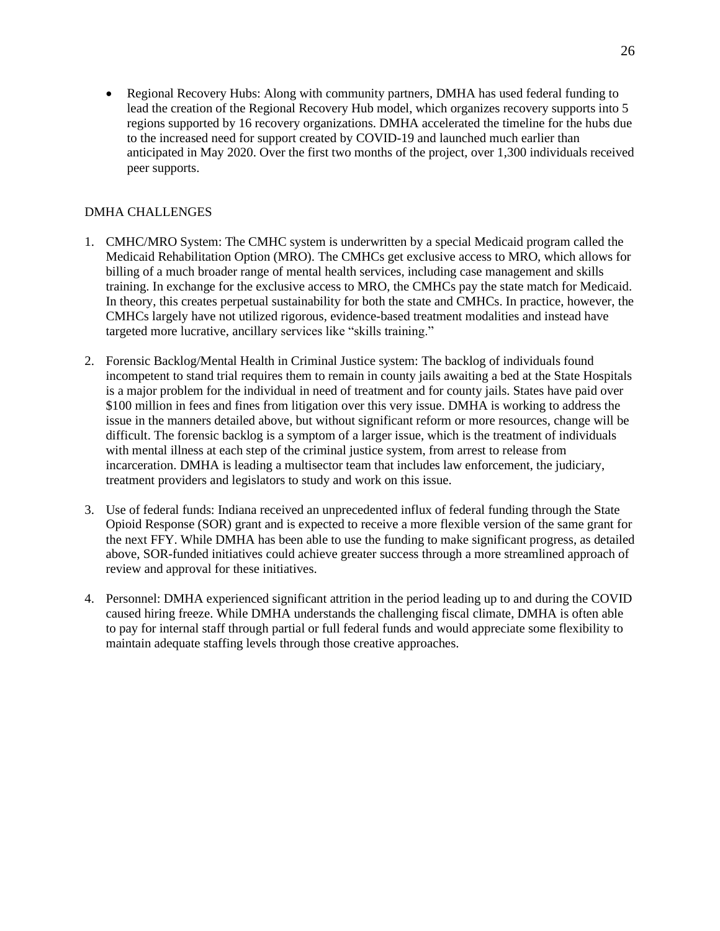• Regional Recovery Hubs: Along with community partners, DMHA has used federal funding to lead the creation of the Regional Recovery Hub model, which organizes recovery supports into 5 regions supported by 16 recovery organizations. DMHA accelerated the timeline for the hubs due to the increased need for support created by COVID-19 and launched much earlier than anticipated in May 2020. Over the first two months of the project, over 1,300 individuals received peer supports.

## DMHA CHALLENGES

- 1. CMHC/MRO System: The CMHC system is underwritten by a special Medicaid program called the Medicaid Rehabilitation Option (MRO). The CMHCs get exclusive access to MRO, which allows for billing of a much broader range of mental health services, including case management and skills training. In exchange for the exclusive access to MRO, the CMHCs pay the state match for Medicaid. In theory, this creates perpetual sustainability for both the state and CMHCs. In practice, however, the CMHCs largely have not utilized rigorous, evidence-based treatment modalities and instead have targeted more lucrative, ancillary services like "skills training."
- 2. Forensic Backlog/Mental Health in Criminal Justice system: The backlog of individuals found incompetent to stand trial requires them to remain in county jails awaiting a bed at the State Hospitals is a major problem for the individual in need of treatment and for county jails. States have paid over \$100 million in fees and fines from litigation over this very issue. DMHA is working to address the issue in the manners detailed above, but without significant reform or more resources, change will be difficult. The forensic backlog is a symptom of a larger issue, which is the treatment of individuals with mental illness at each step of the criminal justice system, from arrest to release from incarceration. DMHA is leading a multisector team that includes law enforcement, the judiciary, treatment providers and legislators to study and work on this issue.
- 3. Use of federal funds: Indiana received an unprecedented influx of federal funding through the State Opioid Response (SOR) grant and is expected to receive a more flexible version of the same grant for the next FFY. While DMHA has been able to use the funding to make significant progress, as detailed above, SOR-funded initiatives could achieve greater success through a more streamlined approach of review and approval for these initiatives.
- 4. Personnel: DMHA experienced significant attrition in the period leading up to and during the COVID caused hiring freeze. While DMHA understands the challenging fiscal climate, DMHA is often able to pay for internal staff through partial or full federal funds and would appreciate some flexibility to maintain adequate staffing levels through those creative approaches.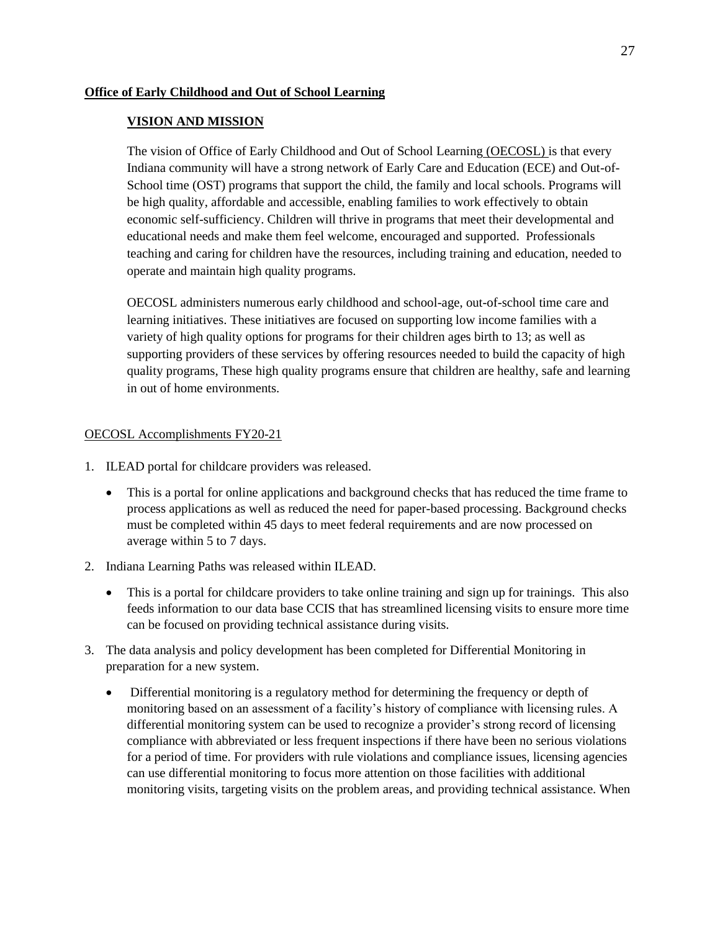## **VISION AND MISSION**

The vision of Office of Early Childhood and Out of School Learning (OECOSL) is that every Indiana community will have a strong network of Early Care and Education (ECE) and Out-of-School time (OST) programs that support the child, the family and local schools. Programs will be high quality, affordable and accessible, enabling families to work effectively to obtain economic self-sufficiency. Children will thrive in programs that meet their developmental and educational needs and make them feel welcome, encouraged and supported. Professionals teaching and caring for children have the resources, including training and education, needed to operate and maintain high quality programs.

OECOSL administers numerous early childhood and school-age, out-of-school time care and learning initiatives. These initiatives are focused on supporting low income families with a variety of high quality options for programs for their children ages birth to 13; as well as supporting providers of these services by offering resources needed to build the capacity of high quality programs, These high quality programs ensure that children are healthy, safe and learning in out of home environments.

## OECOSL Accomplishments FY20-21

- 1. ILEAD portal for childcare providers was released.
	- This is a portal for online applications and background checks that has reduced the time frame to process applications as well as reduced the need for paper-based processing. Background checks must be completed within 45 days to meet federal requirements and are now processed on average within 5 to 7 days.
- 2. Indiana Learning Paths was released within ILEAD.
	- This is a portal for childcare providers to take online training and sign up for trainings. This also feeds information to our data base CCIS that has streamlined licensing visits to ensure more time can be focused on providing technical assistance during visits.
- 3. The data analysis and policy development has been completed for Differential Monitoring in preparation for a new system.
	- Differential monitoring is a regulatory method for determining the frequency or depth of monitoring based on an assessment of a facility's history of compliance with licensing rules. A differential monitoring system can be used to recognize a provider's strong record of licensing compliance with abbreviated or less frequent inspections if there have been no serious violations for a period of time. For providers with rule violations and compliance issues, licensing agencies can use differential monitoring to focus more attention on those facilities with additional monitoring visits, targeting visits on the problem areas, and providing technical assistance. When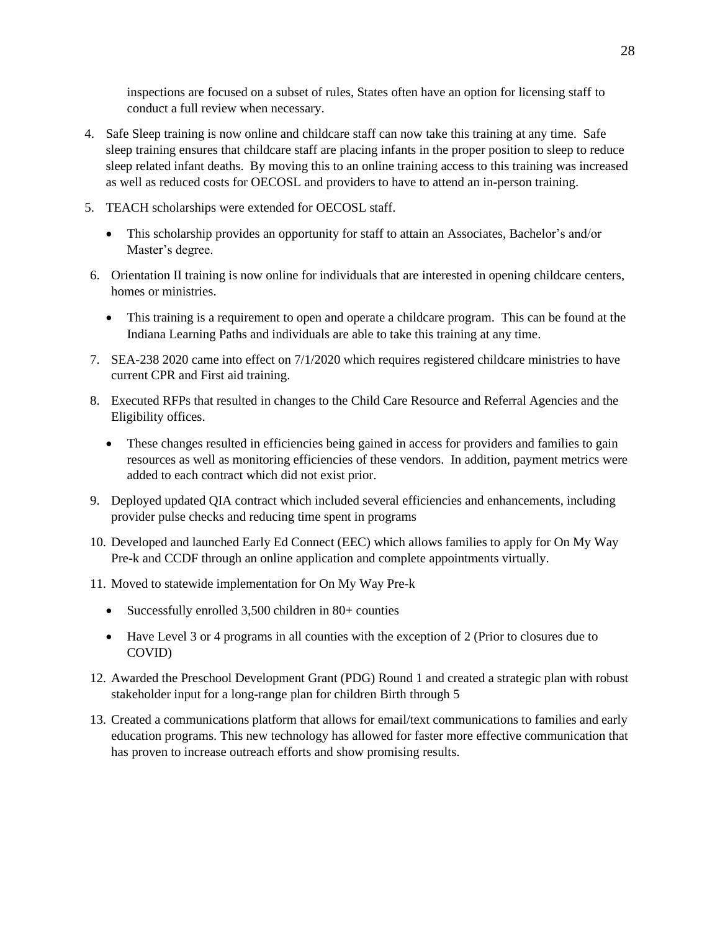inspections are focused on a subset of rules, States often have an option for licensing staff to conduct a full review when necessary.

- 4. Safe Sleep training is now online and childcare staff can now take this training at any time. Safe sleep training ensures that childcare staff are placing infants in the proper position to sleep to reduce sleep related infant deaths. By moving this to an online training access to this training was increased as well as reduced costs for OECOSL and providers to have to attend an in-person training.
- 5. TEACH scholarships were extended for OECOSL staff.
	- This scholarship provides an opportunity for staff to attain an Associates, Bachelor's and/or Master's degree.
- 6. Orientation II training is now online for individuals that are interested in opening childcare centers, homes or ministries.
	- This training is a requirement to open and operate a childcare program. This can be found at the Indiana Learning Paths and individuals are able to take this training at any time.
- 7. SEA-238 2020 came into effect on 7/1/2020 which requires registered childcare ministries to have current CPR and First aid training.
- 8. Executed RFPs that resulted in changes to the Child Care Resource and Referral Agencies and the Eligibility offices.
	- These changes resulted in efficiencies being gained in access for providers and families to gain resources as well as monitoring efficiencies of these vendors. In addition, payment metrics were added to each contract which did not exist prior.
- 9. Deployed updated QIA contract which included several efficiencies and enhancements, including provider pulse checks and reducing time spent in programs
- 10. Developed and launched Early Ed Connect (EEC) which allows families to apply for On My Way Pre-k and CCDF through an online application and complete appointments virtually.
- 11. Moved to statewide implementation for On My Way Pre-k
	- Successfully enrolled 3,500 children in 80+ counties
	- Have Level 3 or 4 programs in all counties with the exception of 2 (Prior to closures due to COVID)
- 12. Awarded the Preschool Development Grant (PDG) Round 1 and created a strategic plan with robust stakeholder input for a long-range plan for children Birth through 5
- 13. Created a communications platform that allows for email/text communications to families and early education programs. This new technology has allowed for faster more effective communication that has proven to increase outreach efforts and show promising results.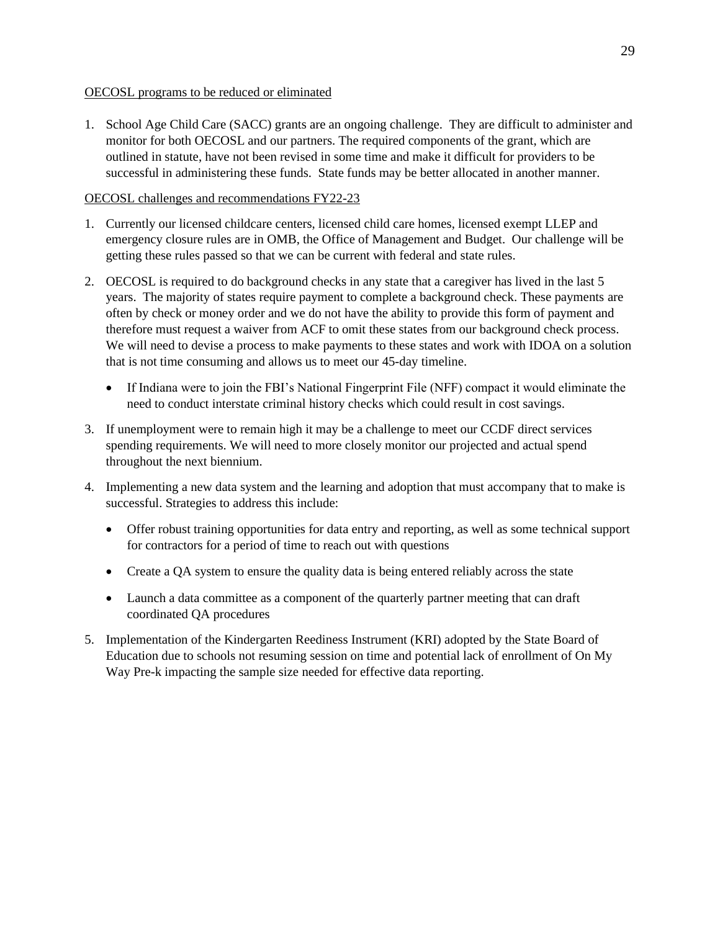## OECOSL programs to be reduced or eliminated

1. School Age Child Care (SACC) grants are an ongoing challenge. They are difficult to administer and monitor for both OECOSL and our partners. The required components of the grant, which are outlined in statute, have not been revised in some time and make it difficult for providers to be successful in administering these funds. State funds may be better allocated in another manner.

## OECOSL challenges and recommendations FY22-23

- 1. Currently our licensed childcare centers, licensed child care homes, licensed exempt LLEP and emergency closure rules are in OMB, the Office of Management and Budget. Our challenge will be getting these rules passed so that we can be current with federal and state rules.
- 2. OECOSL is required to do background checks in any state that a caregiver has lived in the last 5 years. The majority of states require payment to complete a background check. These payments are often by check or money order and we do not have the ability to provide this form of payment and therefore must request a waiver from ACF to omit these states from our background check process. We will need to devise a process to make payments to these states and work with IDOA on a solution that is not time consuming and allows us to meet our 45-day timeline.
	- If Indiana were to join the FBI's National Fingerprint File (NFF) compact it would eliminate the need to conduct interstate criminal history checks which could result in cost savings.
- 3. If unemployment were to remain high it may be a challenge to meet our CCDF direct services spending requirements. We will need to more closely monitor our projected and actual spend throughout the next biennium.
- 4. Implementing a new data system and the learning and adoption that must accompany that to make is successful. Strategies to address this include:
	- Offer robust training opportunities for data entry and reporting, as well as some technical support for contractors for a period of time to reach out with questions
	- Create a QA system to ensure the quality data is being entered reliably across the state
	- Launch a data committee as a component of the quarterly partner meeting that can draft coordinated QA procedures
- 5. Implementation of the Kindergarten Reediness Instrument (KRI) adopted by the State Board of Education due to schools not resuming session on time and potential lack of enrollment of On My Way Pre-k impacting the sample size needed for effective data reporting.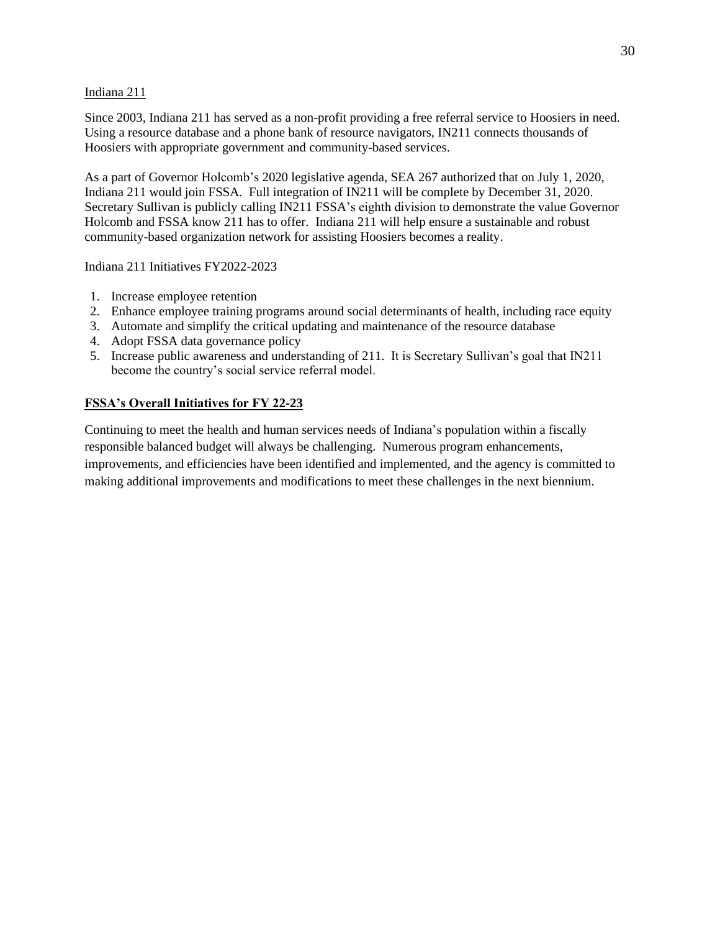### Indiana 211

Since 2003, Indiana 211 has served as a non-profit providing a free referral service to Hoosiers in need. Using a resource database and a phone bank of resource navigators, IN211 connects thousands of Hoosiers with appropriate government and community-based services.

As a part of Governor Holcomb's 2020 legislative agenda, SEA 267 authorized that on July 1, 2020, Indiana 211 would join FSSA. Full integration of IN211 will be complete by December 31, 2020. Secretary Sullivan is publicly calling IN211 FSSA's eighth division to demonstrate the value Governor Holcomb and FSSA know 211 has to offer. Indiana 211 will help ensure a sustainable and robust community-based organization network for assisting Hoosiers becomes a reality.

Indiana 211 Initiatives FY2022-2023

- 1. Increase employee retention
- 2. Enhance employee training programs around social determinants of health, including race equity
- 3. Automate and simplify the critical updating and maintenance of the resource database
- 4. Adopt FSSA data governance policy
- 5. Increase public awareness and understanding of 211. It is Secretary Sullivan's goal that IN211 become the country's social service referral model.

# **FSSA's Overall Initiatives for FY 22-23**

Continuing to meet the health and human services needs of Indiana's population within a fiscally responsible balanced budget will always be challenging. Numerous program enhancements, improvements, and efficiencies have been identified and implemented, and the agency is committed to making additional improvements and modifications to meet these challenges in the next biennium.